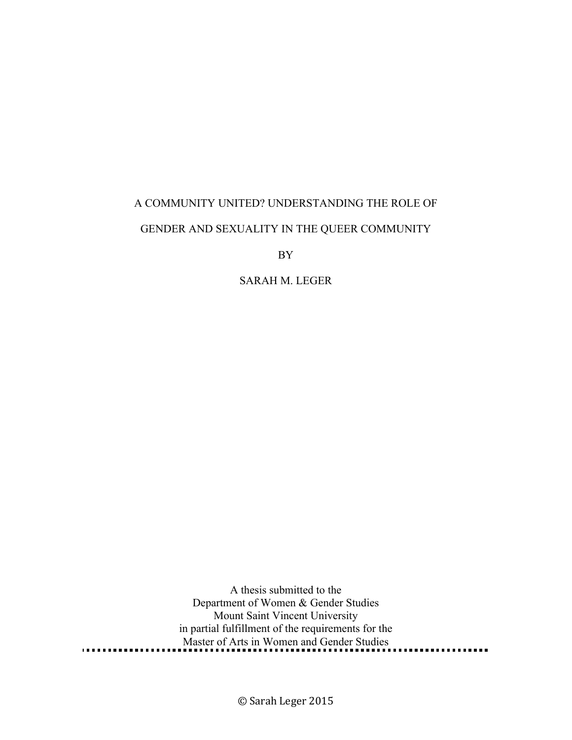# A COMMUNITY UNITED? UNDERSTANDING THE ROLE OF GENDER AND SEXUALITY IN THE QUEER COMMUNITY

BY

SARAH M. LEGER

A thesis submitted to the Department of Women & Gender Studies Mount Saint Vincent University in partial fulfillment of the requirements for the Master of Arts in Women and Gender Studies . . . . . . . . . . . . . . . . .

© Sarah Leger 2015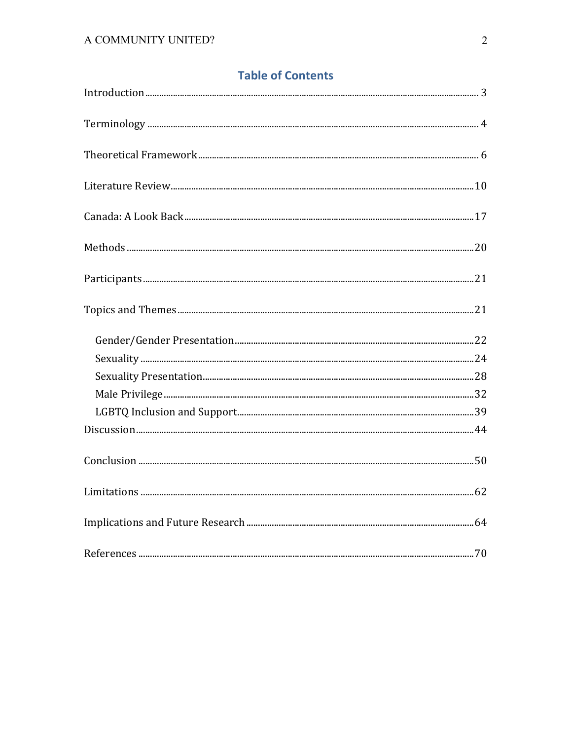## **Table of Contents**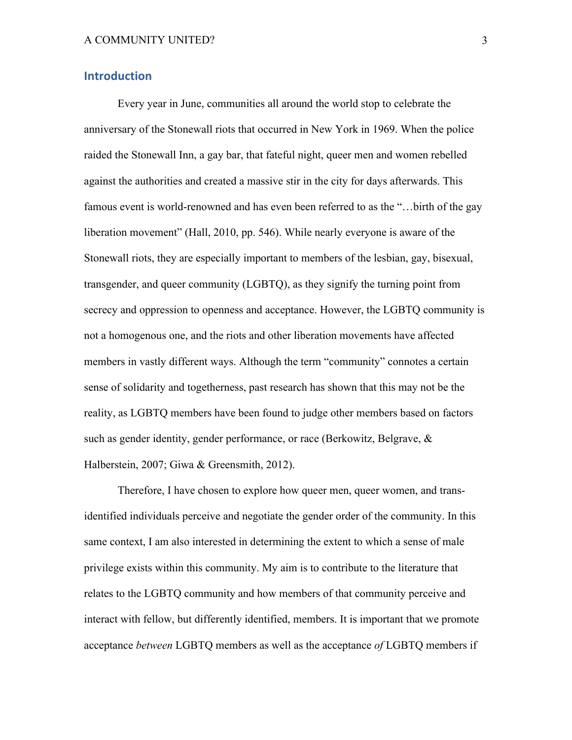## **Introduction**

Every year in June, communities all around the world stop to celebrate the anniversary of the Stonewall riots that occurred in New York in 1969. When the police raided the Stonewall Inn, a gay bar, that fateful night, queer men and women rebelled against the authorities and created a massive stir in the city for days afterwards. This famous event is world-renowned and has even been referred to as the "…birth of the gay liberation movement" (Hall, 2010, pp. 546). While nearly everyone is aware of the Stonewall riots, they are especially important to members of the lesbian, gay, bisexual, transgender, and queer community (LGBTQ), as they signify the turning point from secrecy and oppression to openness and acceptance. However, the LGBTQ community is not a homogenous one, and the riots and other liberation movements have affected members in vastly different ways. Although the term "community" connotes a certain sense of solidarity and togetherness, past research has shown that this may not be the reality, as LGBTQ members have been found to judge other members based on factors such as gender identity, gender performance, or race (Berkowitz, Belgrave, & Halberstein, 2007; Giwa & Greensmith, 2012).

Therefore, I have chosen to explore how queer men, queer women, and transidentified individuals perceive and negotiate the gender order of the community. In this same context, I am also interested in determining the extent to which a sense of male privilege exists within this community. My aim is to contribute to the literature that relates to the LGBTQ community and how members of that community perceive and interact with fellow, but differently identified, members. It is important that we promote acceptance *between* LGBTQ members as well as the acceptance *of* LGBTQ members if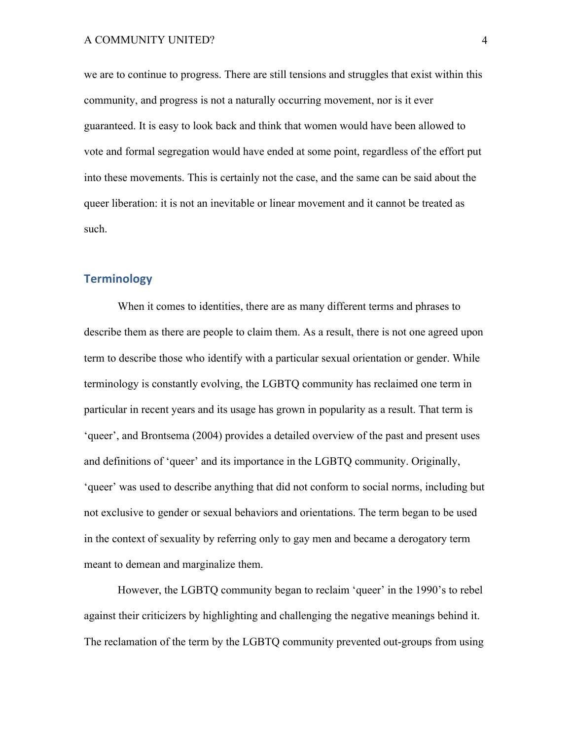we are to continue to progress. There are still tensions and struggles that exist within this community, and progress is not a naturally occurring movement, nor is it ever guaranteed. It is easy to look back and think that women would have been allowed to vote and formal segregation would have ended at some point, regardless of the effort put into these movements. This is certainly not the case, and the same can be said about the queer liberation: it is not an inevitable or linear movement and it cannot be treated as such.

## **Terminology**

When it comes to identities, there are as many different terms and phrases to describe them as there are people to claim them. As a result, there is not one agreed upon term to describe those who identify with a particular sexual orientation or gender. While terminology is constantly evolving, the LGBTQ community has reclaimed one term in particular in recent years and its usage has grown in popularity as a result. That term is 'queer', and Brontsema (2004) provides a detailed overview of the past and present uses and definitions of 'queer' and its importance in the LGBTQ community. Originally, 'queer' was used to describe anything that did not conform to social norms, including but not exclusive to gender or sexual behaviors and orientations. The term began to be used in the context of sexuality by referring only to gay men and became a derogatory term meant to demean and marginalize them.

However, the LGBTQ community began to reclaim 'queer' in the 1990's to rebel against their criticizers by highlighting and challenging the negative meanings behind it. The reclamation of the term by the LGBTQ community prevented out-groups from using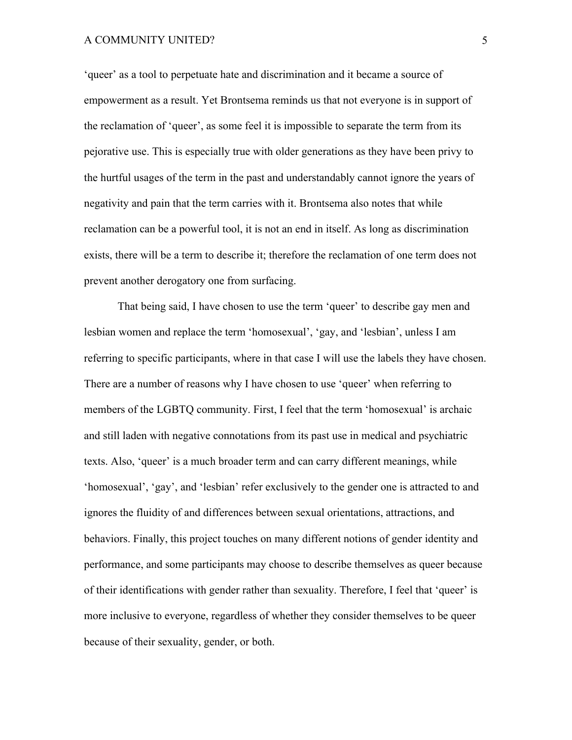'queer' as a tool to perpetuate hate and discrimination and it became a source of empowerment as a result. Yet Brontsema reminds us that not everyone is in support of the reclamation of 'queer', as some feel it is impossible to separate the term from its pejorative use. This is especially true with older generations as they have been privy to the hurtful usages of the term in the past and understandably cannot ignore the years of negativity and pain that the term carries with it. Brontsema also notes that while reclamation can be a powerful tool, it is not an end in itself. As long as discrimination exists, there will be a term to describe it; therefore the reclamation of one term does not prevent another derogatory one from surfacing.

That being said, I have chosen to use the term 'queer' to describe gay men and lesbian women and replace the term 'homosexual', 'gay, and 'lesbian', unless I am referring to specific participants, where in that case I will use the labels they have chosen. There are a number of reasons why I have chosen to use 'queer' when referring to members of the LGBTQ community. First, I feel that the term 'homosexual' is archaic and still laden with negative connotations from its past use in medical and psychiatric texts. Also, 'queer' is a much broader term and can carry different meanings, while 'homosexual', 'gay', and 'lesbian' refer exclusively to the gender one is attracted to and ignores the fluidity of and differences between sexual orientations, attractions, and behaviors. Finally, this project touches on many different notions of gender identity and performance, and some participants may choose to describe themselves as queer because of their identifications with gender rather than sexuality. Therefore, I feel that 'queer' is more inclusive to everyone, regardless of whether they consider themselves to be queer because of their sexuality, gender, or both.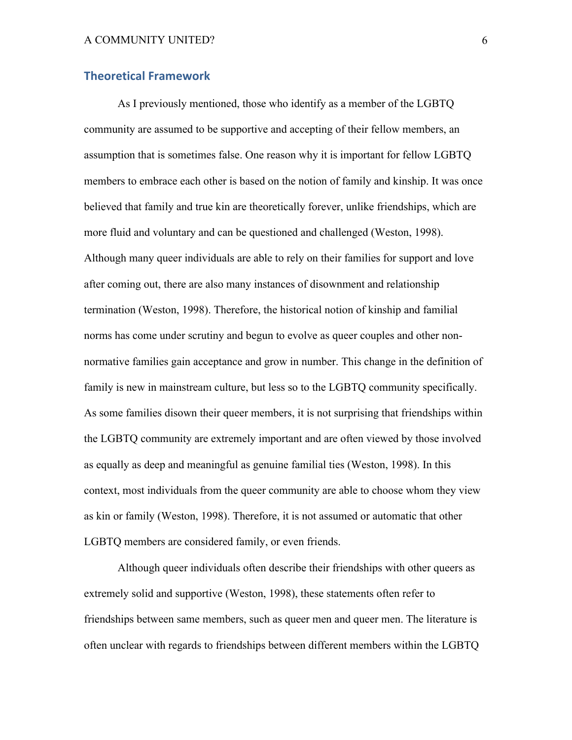## **Theoretical Framework**

As I previously mentioned, those who identify as a member of the LGBTQ community are assumed to be supportive and accepting of their fellow members, an assumption that is sometimes false. One reason why it is important for fellow LGBTQ members to embrace each other is based on the notion of family and kinship. It was once believed that family and true kin are theoretically forever, unlike friendships, which are more fluid and voluntary and can be questioned and challenged (Weston, 1998). Although many queer individuals are able to rely on their families for support and love after coming out, there are also many instances of disownment and relationship termination (Weston, 1998). Therefore, the historical notion of kinship and familial norms has come under scrutiny and begun to evolve as queer couples and other nonnormative families gain acceptance and grow in number. This change in the definition of family is new in mainstream culture, but less so to the LGBTQ community specifically. As some families disown their queer members, it is not surprising that friendships within the LGBTQ community are extremely important and are often viewed by those involved as equally as deep and meaningful as genuine familial ties (Weston, 1998). In this context, most individuals from the queer community are able to choose whom they view as kin or family (Weston, 1998). Therefore, it is not assumed or automatic that other LGBTQ members are considered family, or even friends.

Although queer individuals often describe their friendships with other queers as extremely solid and supportive (Weston, 1998), these statements often refer to friendships between same members, such as queer men and queer men. The literature is often unclear with regards to friendships between different members within the LGBTQ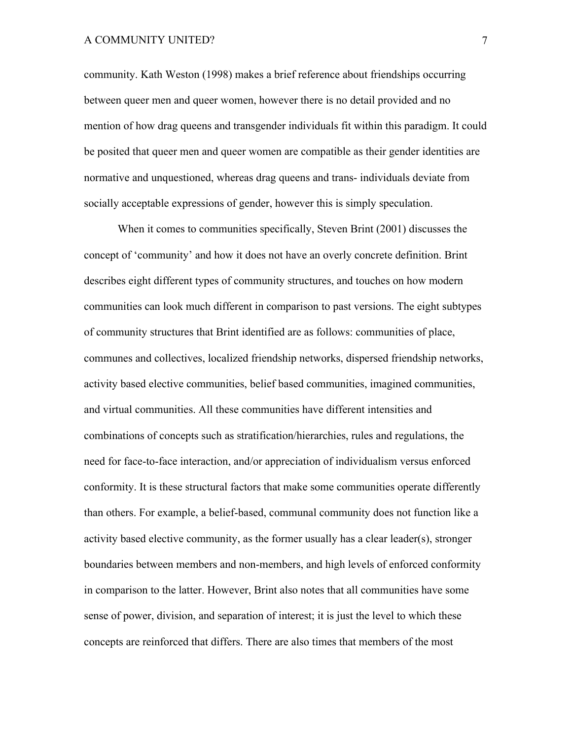community. Kath Weston (1998) makes a brief reference about friendships occurring between queer men and queer women, however there is no detail provided and no mention of how drag queens and transgender individuals fit within this paradigm. It could be posited that queer men and queer women are compatible as their gender identities are normative and unquestioned, whereas drag queens and trans- individuals deviate from socially acceptable expressions of gender, however this is simply speculation.

When it comes to communities specifically, Steven Brint (2001) discusses the concept of 'community' and how it does not have an overly concrete definition. Brint describes eight different types of community structures, and touches on how modern communities can look much different in comparison to past versions. The eight subtypes of community structures that Brint identified are as follows: communities of place, communes and collectives, localized friendship networks, dispersed friendship networks, activity based elective communities, belief based communities, imagined communities, and virtual communities. All these communities have different intensities and combinations of concepts such as stratification/hierarchies, rules and regulations, the need for face-to-face interaction, and/or appreciation of individualism versus enforced conformity. It is these structural factors that make some communities operate differently than others. For example, a belief-based, communal community does not function like a activity based elective community, as the former usually has a clear leader(s), stronger boundaries between members and non-members, and high levels of enforced conformity in comparison to the latter. However, Brint also notes that all communities have some sense of power, division, and separation of interest; it is just the level to which these concepts are reinforced that differs. There are also times that members of the most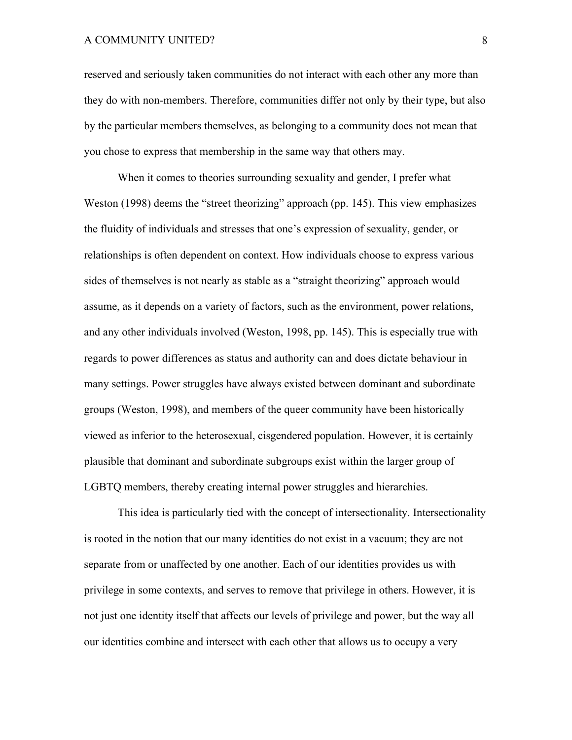reserved and seriously taken communities do not interact with each other any more than they do with non-members. Therefore, communities differ not only by their type, but also by the particular members themselves, as belonging to a community does not mean that you chose to express that membership in the same way that others may.

When it comes to theories surrounding sexuality and gender, I prefer what Weston (1998) deems the "street theorizing" approach (pp. 145). This view emphasizes the fluidity of individuals and stresses that one's expression of sexuality, gender, or relationships is often dependent on context. How individuals choose to express various sides of themselves is not nearly as stable as a "straight theorizing" approach would assume, as it depends on a variety of factors, such as the environment, power relations, and any other individuals involved (Weston, 1998, pp. 145). This is especially true with regards to power differences as status and authority can and does dictate behaviour in many settings. Power struggles have always existed between dominant and subordinate groups (Weston, 1998), and members of the queer community have been historically viewed as inferior to the heterosexual, cisgendered population. However, it is certainly plausible that dominant and subordinate subgroups exist within the larger group of LGBTQ members, thereby creating internal power struggles and hierarchies.

This idea is particularly tied with the concept of intersectionality. Intersectionality is rooted in the notion that our many identities do not exist in a vacuum; they are not separate from or unaffected by one another. Each of our identities provides us with privilege in some contexts, and serves to remove that privilege in others. However, it is not just one identity itself that affects our levels of privilege and power, but the way all our identities combine and intersect with each other that allows us to occupy a very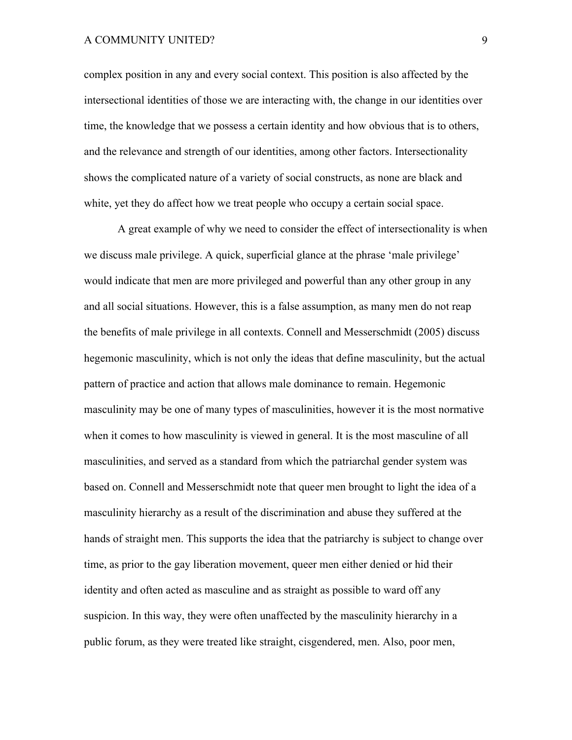complex position in any and every social context. This position is also affected by the intersectional identities of those we are interacting with, the change in our identities over time, the knowledge that we possess a certain identity and how obvious that is to others, and the relevance and strength of our identities, among other factors. Intersectionality shows the complicated nature of a variety of social constructs, as none are black and white, yet they do affect how we treat people who occupy a certain social space.

A great example of why we need to consider the effect of intersectionality is when we discuss male privilege. A quick, superficial glance at the phrase 'male privilege' would indicate that men are more privileged and powerful than any other group in any and all social situations. However, this is a false assumption, as many men do not reap the benefits of male privilege in all contexts. Connell and Messerschmidt (2005) discuss hegemonic masculinity, which is not only the ideas that define masculinity, but the actual pattern of practice and action that allows male dominance to remain. Hegemonic masculinity may be one of many types of masculinities, however it is the most normative when it comes to how masculinity is viewed in general. It is the most masculine of all masculinities, and served as a standard from which the patriarchal gender system was based on. Connell and Messerschmidt note that queer men brought to light the idea of a masculinity hierarchy as a result of the discrimination and abuse they suffered at the hands of straight men. This supports the idea that the patriarchy is subject to change over time, as prior to the gay liberation movement, queer men either denied or hid their identity and often acted as masculine and as straight as possible to ward off any suspicion. In this way, they were often unaffected by the masculinity hierarchy in a public forum, as they were treated like straight, cisgendered, men. Also, poor men,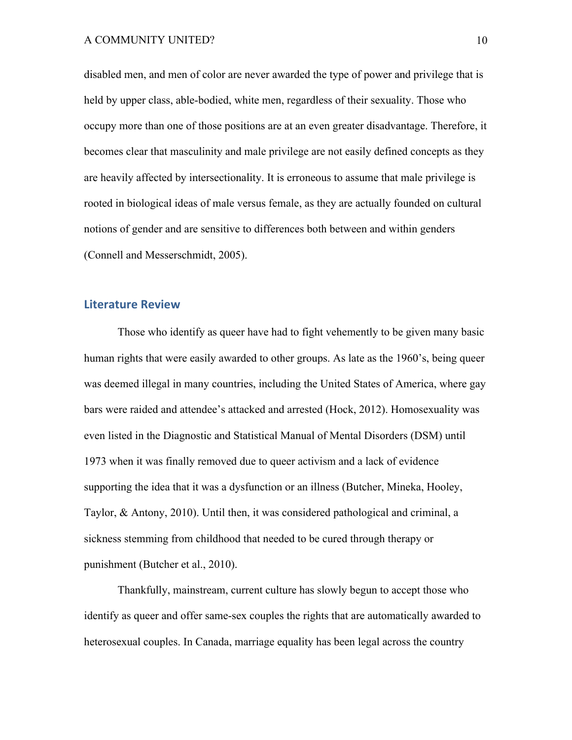disabled men, and men of color are never awarded the type of power and privilege that is held by upper class, able-bodied, white men, regardless of their sexuality. Those who occupy more than one of those positions are at an even greater disadvantage. Therefore, it becomes clear that masculinity and male privilege are not easily defined concepts as they are heavily affected by intersectionality. It is erroneous to assume that male privilege is rooted in biological ideas of male versus female, as they are actually founded on cultural notions of gender and are sensitive to differences both between and within genders (Connell and Messerschmidt, 2005).

## **Literature Review**

Those who identify as queer have had to fight vehemently to be given many basic human rights that were easily awarded to other groups. As late as the 1960's, being queer was deemed illegal in many countries, including the United States of America, where gay bars were raided and attendee's attacked and arrested (Hock, 2012). Homosexuality was even listed in the Diagnostic and Statistical Manual of Mental Disorders (DSM) until 1973 when it was finally removed due to queer activism and a lack of evidence supporting the idea that it was a dysfunction or an illness (Butcher, Mineka, Hooley, Taylor, & Antony, 2010). Until then, it was considered pathological and criminal, a sickness stemming from childhood that needed to be cured through therapy or punishment (Butcher et al., 2010).

Thankfully, mainstream, current culture has slowly begun to accept those who identify as queer and offer same-sex couples the rights that are automatically awarded to heterosexual couples. In Canada, marriage equality has been legal across the country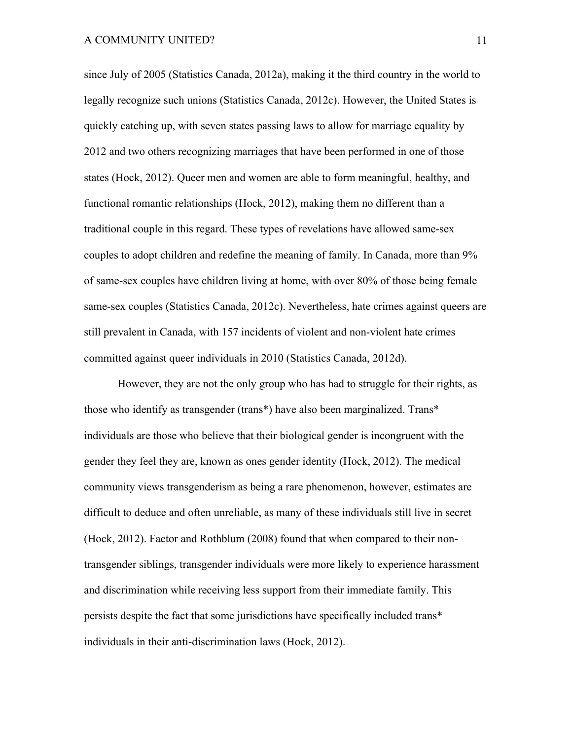since July of 2005 (Statistics Canada, 2012a), making it the third country in the world to legally recognize such unions (Statistics Canada, 2012c). However, the United States is quickly catching up, with seven states passing laws to allow for marriage equality by 2012 and two others recognizing marriages that have been performed in one of those states (Hock, 2012). Queer men and women are able to form meaningful, healthy, and functional romantic relationships (Hock, 2012), making them no different than a traditional couple in this regard. These types of revelations have allowed same-sex couples to adopt children and redefine the meaning of family. In Canada, more than 9% of same-sex couples have children living at home, with over 80% of those being female same-sex couples (Statistics Canada, 2012c). Nevertheless, hate crimes against queers are still prevalent in Canada, with 157 incidents of violent and non-violent hate crimes committed against queer individuals in 2010 (Statistics Canada, 2012d).

However, they are not the only group who has had to struggle for their rights, as those who identify as transgender (trans\*) have also been marginalized. Trans\* individuals are those who believe that their biological gender is incongruent with the gender they feel they are, known as ones gender identity (Hock, 2012). The medical community views transgenderism as being a rare phenomenon, however, estimates are difficult to deduce and often unreliable, as many of these individuals still live in secret (Hock, 2012). Factor and Rothblum (2008) found that when compared to their nontransgender siblings, transgender individuals were more likely to experience harassment and discrimination while receiving less support from their immediate family. This persists despite the fact that some jurisdictions have specifically included trans\* individuals in their anti-discrimination laws (Hock, 2012).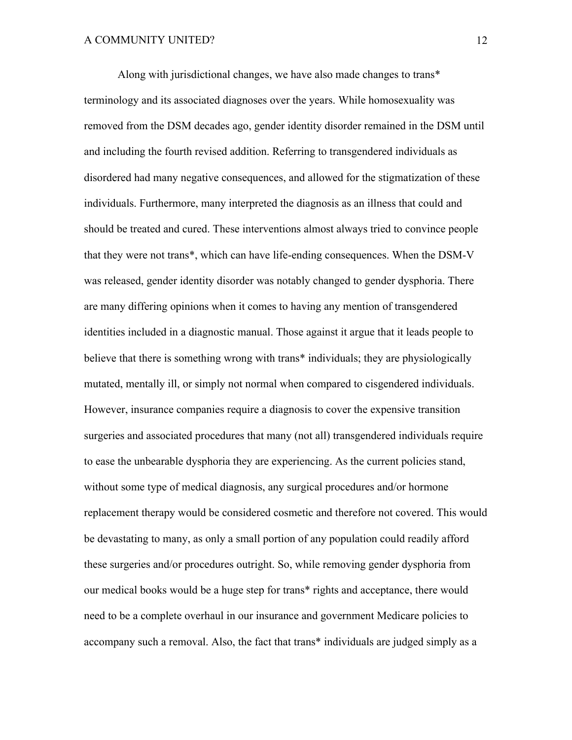Along with jurisdictional changes, we have also made changes to trans\* terminology and its associated diagnoses over the years. While homosexuality was removed from the DSM decades ago, gender identity disorder remained in the DSM until and including the fourth revised addition. Referring to transgendered individuals as disordered had many negative consequences, and allowed for the stigmatization of these individuals. Furthermore, many interpreted the diagnosis as an illness that could and should be treated and cured. These interventions almost always tried to convince people that they were not trans\*, which can have life-ending consequences. When the DSM-V was released, gender identity disorder was notably changed to gender dysphoria. There are many differing opinions when it comes to having any mention of transgendered identities included in a diagnostic manual. Those against it argue that it leads people to believe that there is something wrong with trans<sup>\*</sup> individuals; they are physiologically mutated, mentally ill, or simply not normal when compared to cisgendered individuals. However, insurance companies require a diagnosis to cover the expensive transition surgeries and associated procedures that many (not all) transgendered individuals require to ease the unbearable dysphoria they are experiencing. As the current policies stand, without some type of medical diagnosis, any surgical procedures and/or hormone replacement therapy would be considered cosmetic and therefore not covered. This would be devastating to many, as only a small portion of any population could readily afford these surgeries and/or procedures outright. So, while removing gender dysphoria from our medical books would be a huge step for trans\* rights and acceptance, there would need to be a complete overhaul in our insurance and government Medicare policies to accompany such a removal. Also, the fact that trans\* individuals are judged simply as a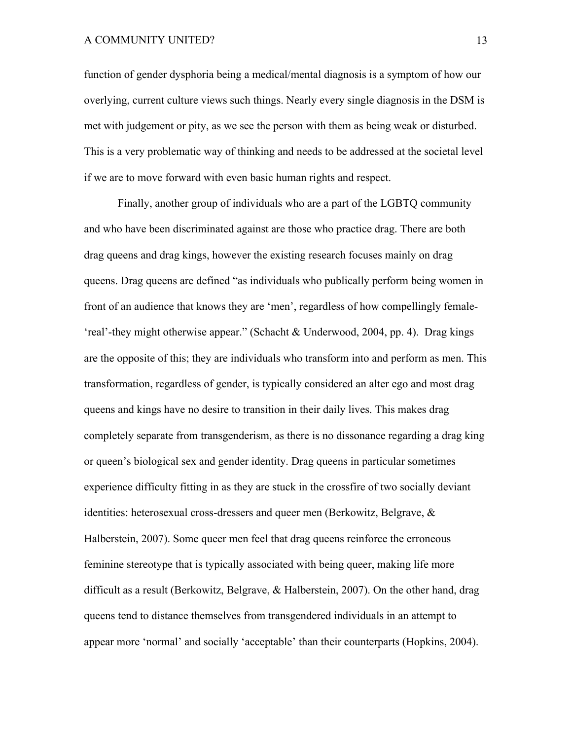function of gender dysphoria being a medical/mental diagnosis is a symptom of how our overlying, current culture views such things. Nearly every single diagnosis in the DSM is met with judgement or pity, as we see the person with them as being weak or disturbed. This is a very problematic way of thinking and needs to be addressed at the societal level if we are to move forward with even basic human rights and respect.

Finally, another group of individuals who are a part of the LGBTQ community and who have been discriminated against are those who practice drag. There are both drag queens and drag kings, however the existing research focuses mainly on drag queens. Drag queens are defined "as individuals who publically perform being women in front of an audience that knows they are 'men', regardless of how compellingly female- 'real'-they might otherwise appear." (Schacht & Underwood, 2004, pp. 4). Drag kings are the opposite of this; they are individuals who transform into and perform as men. This transformation, regardless of gender, is typically considered an alter ego and most drag queens and kings have no desire to transition in their daily lives. This makes drag completely separate from transgenderism, as there is no dissonance regarding a drag king or queen's biological sex and gender identity. Drag queens in particular sometimes experience difficulty fitting in as they are stuck in the crossfire of two socially deviant identities: heterosexual cross-dressers and queer men (Berkowitz, Belgrave, & Halberstein, 2007). Some queer men feel that drag queens reinforce the erroneous feminine stereotype that is typically associated with being queer, making life more difficult as a result (Berkowitz, Belgrave, & Halberstein, 2007). On the other hand, drag queens tend to distance themselves from transgendered individuals in an attempt to appear more 'normal' and socially 'acceptable' than their counterparts (Hopkins, 2004).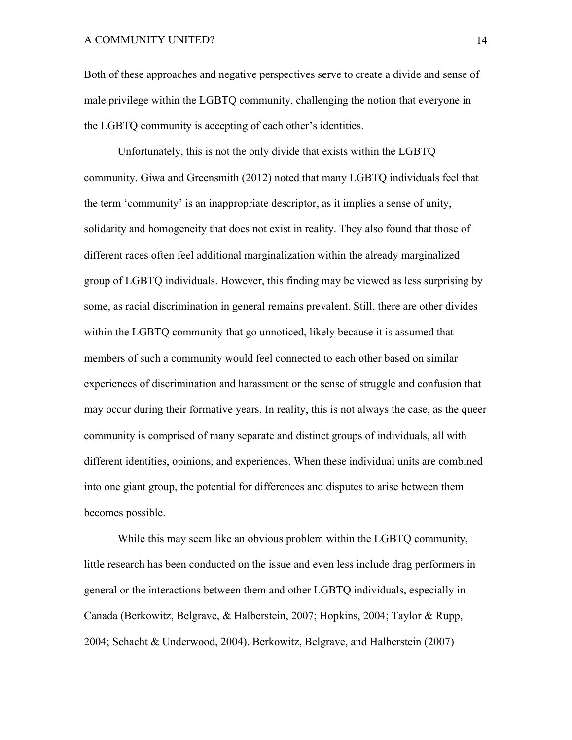Both of these approaches and negative perspectives serve to create a divide and sense of male privilege within the LGBTQ community, challenging the notion that everyone in the LGBTQ community is accepting of each other's identities.

Unfortunately, this is not the only divide that exists within the LGBTQ community. Giwa and Greensmith (2012) noted that many LGBTQ individuals feel that the term 'community' is an inappropriate descriptor, as it implies a sense of unity, solidarity and homogeneity that does not exist in reality. They also found that those of different races often feel additional marginalization within the already marginalized group of LGBTQ individuals. However, this finding may be viewed as less surprising by some, as racial discrimination in general remains prevalent. Still, there are other divides within the LGBTQ community that go unnoticed, likely because it is assumed that members of such a community would feel connected to each other based on similar experiences of discrimination and harassment or the sense of struggle and confusion that may occur during their formative years. In reality, this is not always the case, as the queer community is comprised of many separate and distinct groups of individuals, all with different identities, opinions, and experiences. When these individual units are combined into one giant group, the potential for differences and disputes to arise between them becomes possible.

While this may seem like an obvious problem within the LGBTQ community, little research has been conducted on the issue and even less include drag performers in general or the interactions between them and other LGBTQ individuals, especially in Canada (Berkowitz, Belgrave, & Halberstein, 2007; Hopkins, 2004; Taylor & Rupp, 2004; Schacht & Underwood, 2004). Berkowitz, Belgrave, and Halberstein (2007)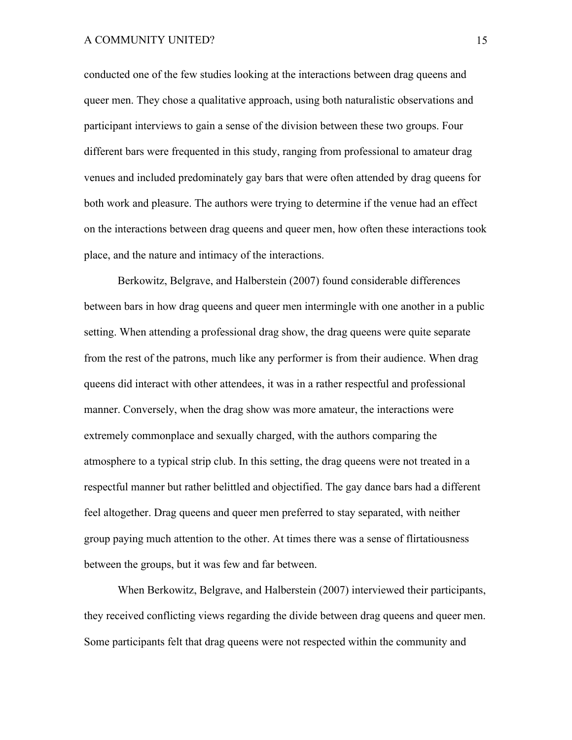conducted one of the few studies looking at the interactions between drag queens and queer men. They chose a qualitative approach, using both naturalistic observations and participant interviews to gain a sense of the division between these two groups. Four different bars were frequented in this study, ranging from professional to amateur drag venues and included predominately gay bars that were often attended by drag queens for both work and pleasure. The authors were trying to determine if the venue had an effect on the interactions between drag queens and queer men, how often these interactions took place, and the nature and intimacy of the interactions.

Berkowitz, Belgrave, and Halberstein (2007) found considerable differences between bars in how drag queens and queer men intermingle with one another in a public setting. When attending a professional drag show, the drag queens were quite separate from the rest of the patrons, much like any performer is from their audience. When drag queens did interact with other attendees, it was in a rather respectful and professional manner. Conversely, when the drag show was more amateur, the interactions were extremely commonplace and sexually charged, with the authors comparing the atmosphere to a typical strip club. In this setting, the drag queens were not treated in a respectful manner but rather belittled and objectified. The gay dance bars had a different feel altogether. Drag queens and queer men preferred to stay separated, with neither group paying much attention to the other. At times there was a sense of flirtatiousness between the groups, but it was few and far between.

When Berkowitz, Belgrave, and Halberstein (2007) interviewed their participants, they received conflicting views regarding the divide between drag queens and queer men. Some participants felt that drag queens were not respected within the community and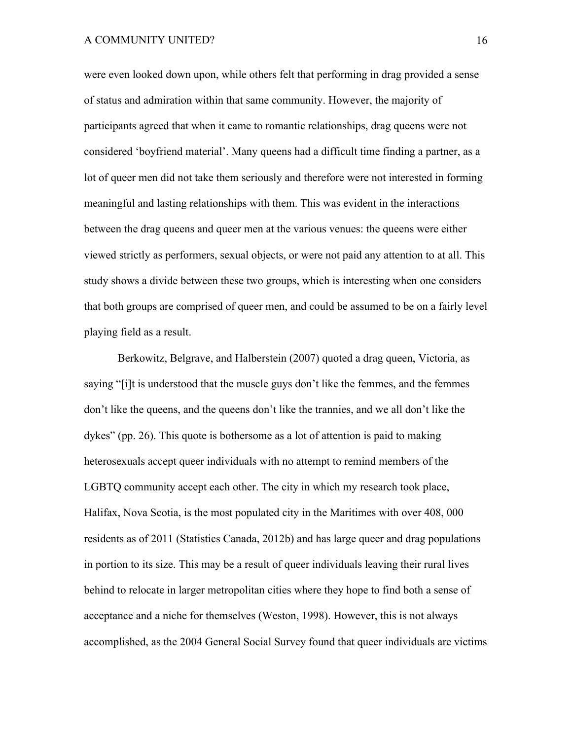were even looked down upon, while others felt that performing in drag provided a sense of status and admiration within that same community. However, the majority of participants agreed that when it came to romantic relationships, drag queens were not considered 'boyfriend material'. Many queens had a difficult time finding a partner, as a lot of queer men did not take them seriously and therefore were not interested in forming meaningful and lasting relationships with them. This was evident in the interactions between the drag queens and queer men at the various venues: the queens were either viewed strictly as performers, sexual objects, or were not paid any attention to at all. This study shows a divide between these two groups, which is interesting when one considers that both groups are comprised of queer men, and could be assumed to be on a fairly level playing field as a result.

Berkowitz, Belgrave, and Halberstein (2007) quoted a drag queen, Victoria, as saying "[i]t is understood that the muscle guys don't like the femmes, and the femmes don't like the queens, and the queens don't like the trannies, and we all don't like the dykes" (pp. 26). This quote is bothersome as a lot of attention is paid to making heterosexuals accept queer individuals with no attempt to remind members of the LGBTQ community accept each other. The city in which my research took place, Halifax, Nova Scotia, is the most populated city in the Maritimes with over 408, 000 residents as of 2011 (Statistics Canada, 2012b) and has large queer and drag populations in portion to its size. This may be a result of queer individuals leaving their rural lives behind to relocate in larger metropolitan cities where they hope to find both a sense of acceptance and a niche for themselves (Weston, 1998). However, this is not always accomplished, as the 2004 General Social Survey found that queer individuals are victims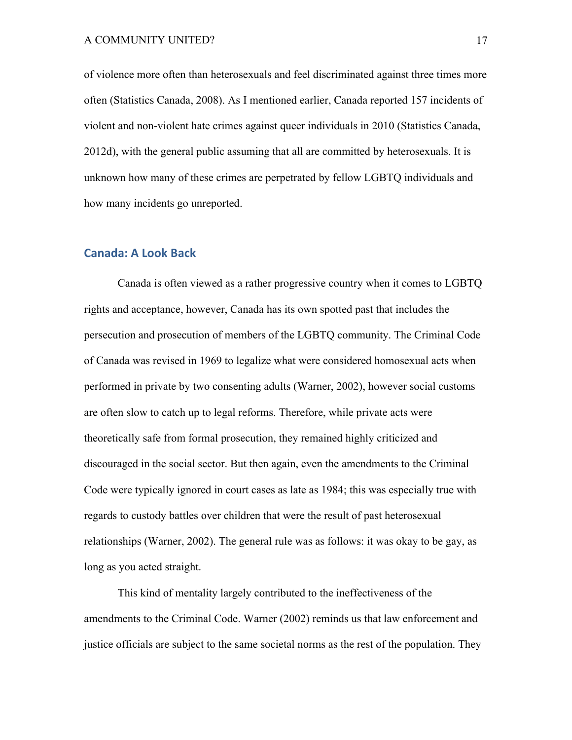of violence more often than heterosexuals and feel discriminated against three times more often (Statistics Canada, 2008). As I mentioned earlier, Canada reported 157 incidents of violent and non-violent hate crimes against queer individuals in 2010 (Statistics Canada, 2012d), with the general public assuming that all are committed by heterosexuals. It is unknown how many of these crimes are perpetrated by fellow LGBTQ individuals and how many incidents go unreported.

## **Canada: A Look Back**

Canada is often viewed as a rather progressive country when it comes to LGBTQ rights and acceptance, however, Canada has its own spotted past that includes the persecution and prosecution of members of the LGBTQ community. The Criminal Code of Canada was revised in 1969 to legalize what were considered homosexual acts when performed in private by two consenting adults (Warner, 2002), however social customs are often slow to catch up to legal reforms. Therefore, while private acts were theoretically safe from formal prosecution, they remained highly criticized and discouraged in the social sector. But then again, even the amendments to the Criminal Code were typically ignored in court cases as late as 1984; this was especially true with regards to custody battles over children that were the result of past heterosexual relationships (Warner, 2002). The general rule was as follows: it was okay to be gay, as long as you acted straight.

This kind of mentality largely contributed to the ineffectiveness of the amendments to the Criminal Code. Warner (2002) reminds us that law enforcement and justice officials are subject to the same societal norms as the rest of the population. They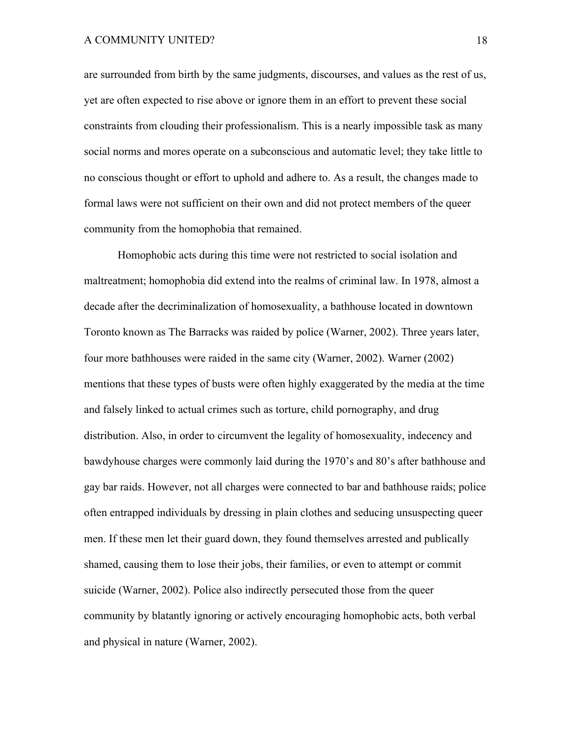are surrounded from birth by the same judgments, discourses, and values as the rest of us, yet are often expected to rise above or ignore them in an effort to prevent these social constraints from clouding their professionalism. This is a nearly impossible task as many social norms and mores operate on a subconscious and automatic level; they take little to no conscious thought or effort to uphold and adhere to. As a result, the changes made to formal laws were not sufficient on their own and did not protect members of the queer community from the homophobia that remained.

Homophobic acts during this time were not restricted to social isolation and maltreatment; homophobia did extend into the realms of criminal law. In 1978, almost a decade after the decriminalization of homosexuality, a bathhouse located in downtown Toronto known as The Barracks was raided by police (Warner, 2002). Three years later, four more bathhouses were raided in the same city (Warner, 2002). Warner (2002) mentions that these types of busts were often highly exaggerated by the media at the time and falsely linked to actual crimes such as torture, child pornography, and drug distribution. Also, in order to circumvent the legality of homosexuality, indecency and bawdyhouse charges were commonly laid during the 1970's and 80's after bathhouse and gay bar raids. However, not all charges were connected to bar and bathhouse raids; police often entrapped individuals by dressing in plain clothes and seducing unsuspecting queer men. If these men let their guard down, they found themselves arrested and publically shamed, causing them to lose their jobs, their families, or even to attempt or commit suicide (Warner, 2002). Police also indirectly persecuted those from the queer community by blatantly ignoring or actively encouraging homophobic acts, both verbal and physical in nature (Warner, 2002).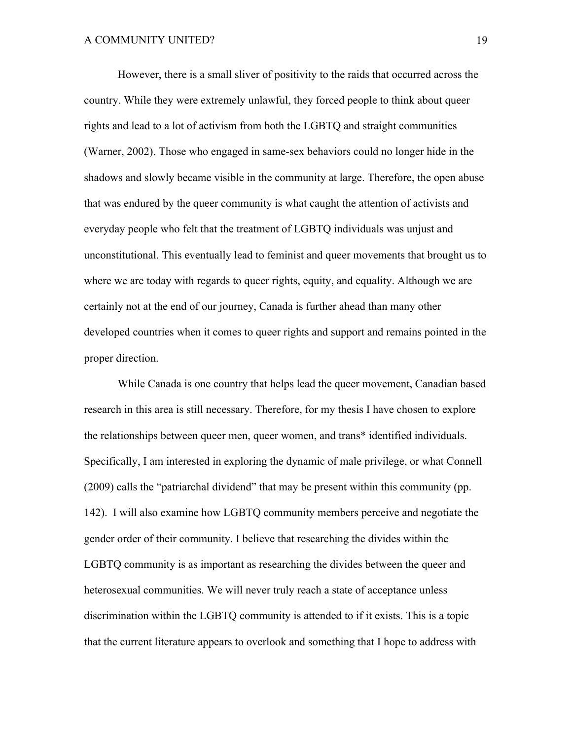However, there is a small sliver of positivity to the raids that occurred across the country. While they were extremely unlawful, they forced people to think about queer rights and lead to a lot of activism from both the LGBTQ and straight communities (Warner, 2002). Those who engaged in same-sex behaviors could no longer hide in the shadows and slowly became visible in the community at large. Therefore, the open abuse that was endured by the queer community is what caught the attention of activists and everyday people who felt that the treatment of LGBTQ individuals was unjust and unconstitutional. This eventually lead to feminist and queer movements that brought us to where we are today with regards to queer rights, equity, and equality. Although we are certainly not at the end of our journey, Canada is further ahead than many other developed countries when it comes to queer rights and support and remains pointed in the proper direction.

While Canada is one country that helps lead the queer movement, Canadian based research in this area is still necessary. Therefore, for my thesis I have chosen to explore the relationships between queer men, queer women, and trans\* identified individuals. Specifically, I am interested in exploring the dynamic of male privilege, or what Connell (2009) calls the "patriarchal dividend" that may be present within this community (pp. 142). I will also examine how LGBTQ community members perceive and negotiate the gender order of their community. I believe that researching the divides within the LGBTQ community is as important as researching the divides between the queer and heterosexual communities. We will never truly reach a state of acceptance unless discrimination within the LGBTQ community is attended to if it exists. This is a topic that the current literature appears to overlook and something that I hope to address with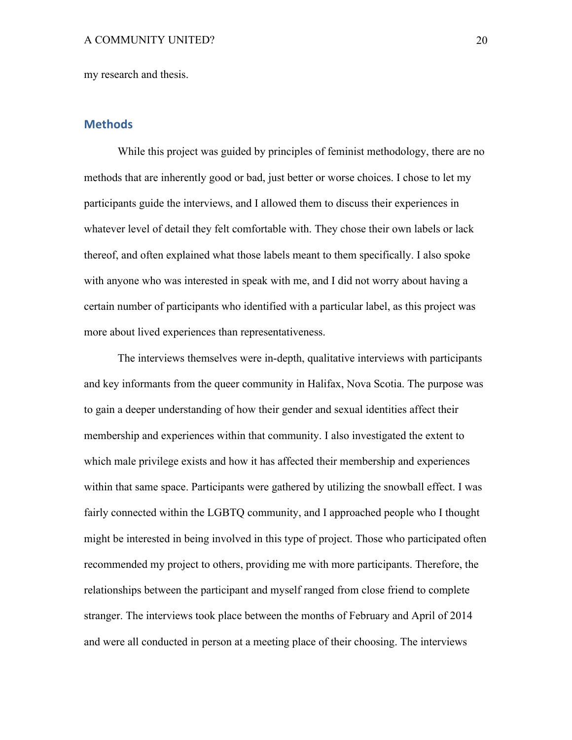my research and thesis.

## **Methods**

While this project was guided by principles of feminist methodology, there are no methods that are inherently good or bad, just better or worse choices. I chose to let my participants guide the interviews, and I allowed them to discuss their experiences in whatever level of detail they felt comfortable with. They chose their own labels or lack thereof, and often explained what those labels meant to them specifically. I also spoke with anyone who was interested in speak with me, and I did not worry about having a certain number of participants who identified with a particular label, as this project was more about lived experiences than representativeness.

The interviews themselves were in-depth, qualitative interviews with participants and key informants from the queer community in Halifax, Nova Scotia. The purpose was to gain a deeper understanding of how their gender and sexual identities affect their membership and experiences within that community. I also investigated the extent to which male privilege exists and how it has affected their membership and experiences within that same space. Participants were gathered by utilizing the snowball effect. I was fairly connected within the LGBTQ community, and I approached people who I thought might be interested in being involved in this type of project. Those who participated often recommended my project to others, providing me with more participants. Therefore, the relationships between the participant and myself ranged from close friend to complete stranger. The interviews took place between the months of February and April of 2014 and were all conducted in person at a meeting place of their choosing. The interviews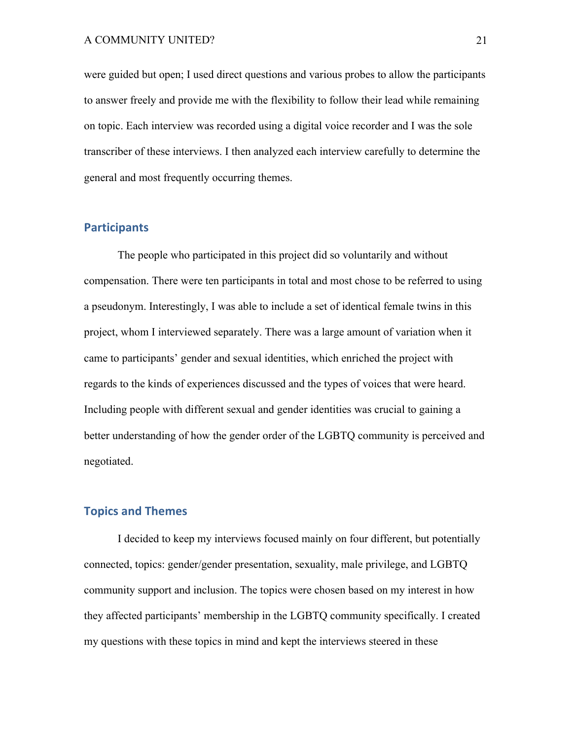were guided but open; I used direct questions and various probes to allow the participants to answer freely and provide me with the flexibility to follow their lead while remaining on topic. Each interview was recorded using a digital voice recorder and I was the sole transcriber of these interviews. I then analyzed each interview carefully to determine the general and most frequently occurring themes.

## **Participants**

The people who participated in this project did so voluntarily and without compensation. There were ten participants in total and most chose to be referred to using a pseudonym. Interestingly, I was able to include a set of identical female twins in this project, whom I interviewed separately. There was a large amount of variation when it came to participants' gender and sexual identities, which enriched the project with regards to the kinds of experiences discussed and the types of voices that were heard. Including people with different sexual and gender identities was crucial to gaining a better understanding of how the gender order of the LGBTQ community is perceived and negotiated.

## **Topics and Themes**

I decided to keep my interviews focused mainly on four different, but potentially connected, topics: gender/gender presentation, sexuality, male privilege, and LGBTQ community support and inclusion. The topics were chosen based on my interest in how they affected participants' membership in the LGBTQ community specifically. I created my questions with these topics in mind and kept the interviews steered in these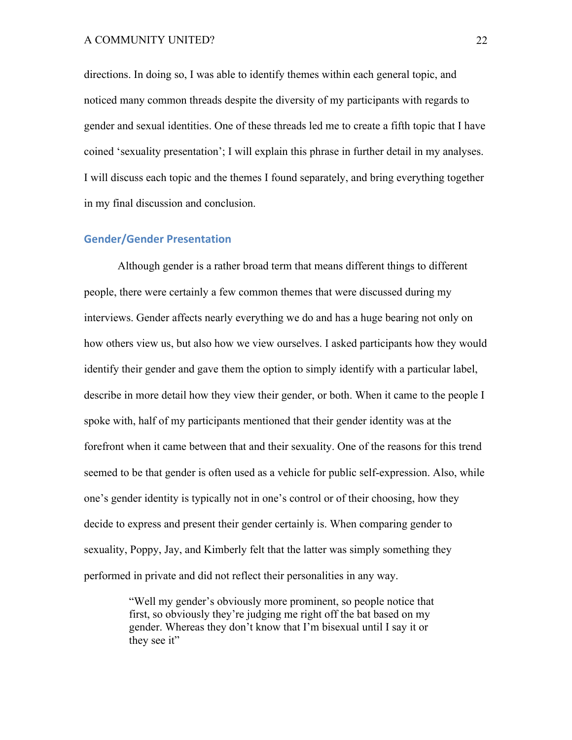directions. In doing so, I was able to identify themes within each general topic, and noticed many common threads despite the diversity of my participants with regards to gender and sexual identities. One of these threads led me to create a fifth topic that I have coined 'sexuality presentation'; I will explain this phrase in further detail in my analyses. I will discuss each topic and the themes I found separately, and bring everything together in my final discussion and conclusion.

#### **Gender/Gender Presentation**

Although gender is a rather broad term that means different things to different people, there were certainly a few common themes that were discussed during my interviews. Gender affects nearly everything we do and has a huge bearing not only on how others view us, but also how we view ourselves. I asked participants how they would identify their gender and gave them the option to simply identify with a particular label, describe in more detail how they view their gender, or both. When it came to the people I spoke with, half of my participants mentioned that their gender identity was at the forefront when it came between that and their sexuality. One of the reasons for this trend seemed to be that gender is often used as a vehicle for public self-expression. Also, while one's gender identity is typically not in one's control or of their choosing, how they decide to express and present their gender certainly is. When comparing gender to sexuality, Poppy, Jay, and Kimberly felt that the latter was simply something they performed in private and did not reflect their personalities in any way.

> "Well my gender's obviously more prominent, so people notice that first, so obviously they're judging me right off the bat based on my gender. Whereas they don't know that I'm bisexual until I say it or they see it"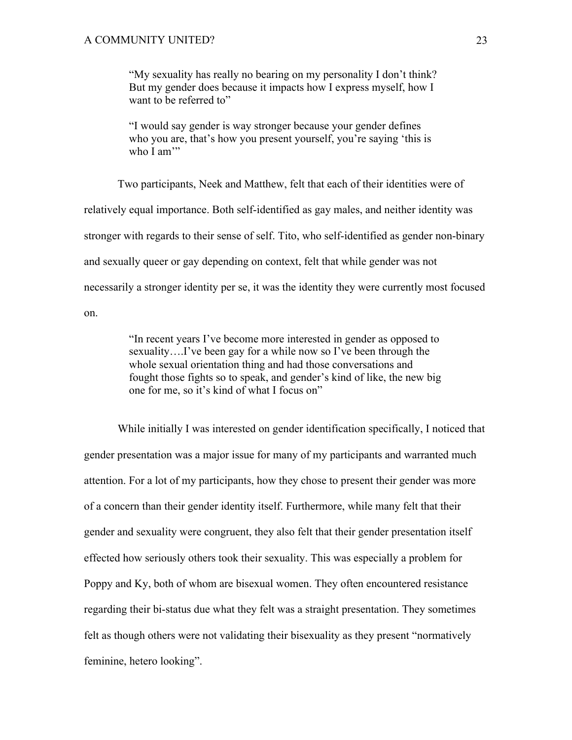"My sexuality has really no bearing on my personality I don't think? But my gender does because it impacts how I express myself, how I want to be referred to"

"I would say gender is way stronger because your gender defines who you are, that's how you present yourself, you're saying 'this is who I am"

Two participants, Neek and Matthew, felt that each of their identities were of relatively equal importance. Both self-identified as gay males, and neither identity was stronger with regards to their sense of self. Tito, who self-identified as gender non-binary and sexually queer or gay depending on context, felt that while gender was not necessarily a stronger identity per se, it was the identity they were currently most focused on.

> "In recent years I've become more interested in gender as opposed to sexuality….I've been gay for a while now so I've been through the whole sexual orientation thing and had those conversations and fought those fights so to speak, and gender's kind of like, the new big one for me, so it's kind of what I focus on"

While initially I was interested on gender identification specifically, I noticed that gender presentation was a major issue for many of my participants and warranted much attention. For a lot of my participants, how they chose to present their gender was more of a concern than their gender identity itself. Furthermore, while many felt that their gender and sexuality were congruent, they also felt that their gender presentation itself effected how seriously others took their sexuality. This was especially a problem for Poppy and Ky, both of whom are bisexual women. They often encountered resistance regarding their bi-status due what they felt was a straight presentation. They sometimes felt as though others were not validating their bisexuality as they present "normatively feminine, hetero looking".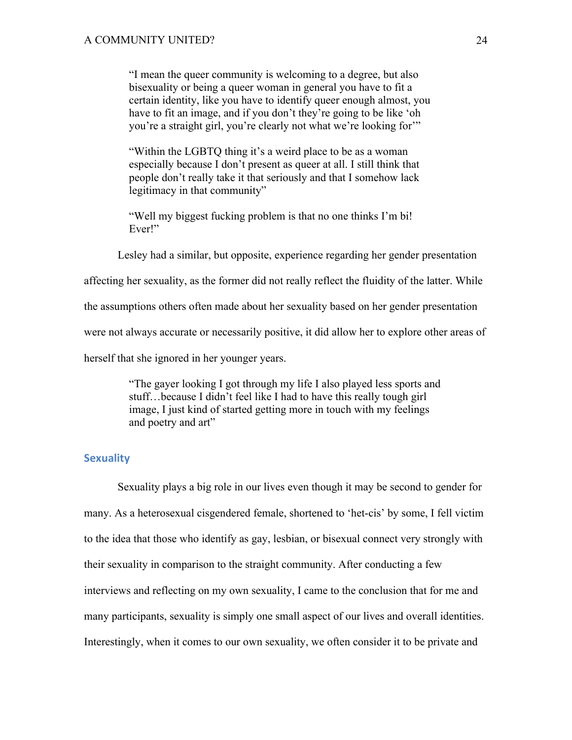"I mean the queer community is welcoming to a degree, but also bisexuality or being a queer woman in general you have to fit a certain identity, like you have to identify queer enough almost, you have to fit an image, and if you don't they're going to be like 'oh you're a straight girl, you're clearly not what we're looking for'"

"Within the LGBTQ thing it's a weird place to be as a woman especially because I don't present as queer at all. I still think that people don't really take it that seriously and that I somehow lack legitimacy in that community"

"Well my biggest fucking problem is that no one thinks I'm bi! Ever!"

Lesley had a similar, but opposite, experience regarding her gender presentation

affecting her sexuality, as the former did not really reflect the fluidity of the latter. While

the assumptions others often made about her sexuality based on her gender presentation

were not always accurate or necessarily positive, it did allow her to explore other areas of

herself that she ignored in her younger years.

"The gayer looking I got through my life I also played less sports and stuff…because I didn't feel like I had to have this really tough girl image, I just kind of started getting more in touch with my feelings and poetry and art"

## **Sexuality**

Sexuality plays a big role in our lives even though it may be second to gender for many. As a heterosexual cisgendered female, shortened to 'het-cis' by some, I fell victim to the idea that those who identify as gay, lesbian, or bisexual connect very strongly with their sexuality in comparison to the straight community. After conducting a few interviews and reflecting on my own sexuality, I came to the conclusion that for me and many participants, sexuality is simply one small aspect of our lives and overall identities. Interestingly, when it comes to our own sexuality, we often consider it to be private and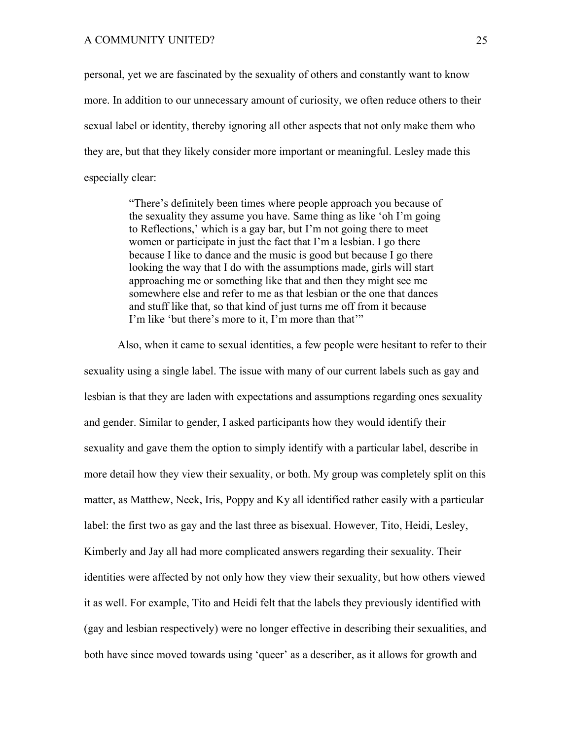personal, yet we are fascinated by the sexuality of others and constantly want to know more. In addition to our unnecessary amount of curiosity, we often reduce others to their sexual label or identity, thereby ignoring all other aspects that not only make them who they are, but that they likely consider more important or meaningful. Lesley made this especially clear:

> "There's definitely been times where people approach you because of the sexuality they assume you have. Same thing as like 'oh I'm going to Reflections,' which is a gay bar, but I'm not going there to meet women or participate in just the fact that I'm a lesbian. I go there because I like to dance and the music is good but because I go there looking the way that I do with the assumptions made, girls will start approaching me or something like that and then they might see me somewhere else and refer to me as that lesbian or the one that dances and stuff like that, so that kind of just turns me off from it because I'm like 'but there's more to it, I'm more than that'"

Also, when it came to sexual identities, a few people were hesitant to refer to their sexuality using a single label. The issue with many of our current labels such as gay and lesbian is that they are laden with expectations and assumptions regarding ones sexuality and gender. Similar to gender, I asked participants how they would identify their sexuality and gave them the option to simply identify with a particular label, describe in more detail how they view their sexuality, or both. My group was completely split on this matter, as Matthew, Neek, Iris, Poppy and Ky all identified rather easily with a particular label: the first two as gay and the last three as bisexual. However, Tito, Heidi, Lesley, Kimberly and Jay all had more complicated answers regarding their sexuality. Their identities were affected by not only how they view their sexuality, but how others viewed it as well. For example, Tito and Heidi felt that the labels they previously identified with (gay and lesbian respectively) were no longer effective in describing their sexualities, and both have since moved towards using 'queer' as a describer, as it allows for growth and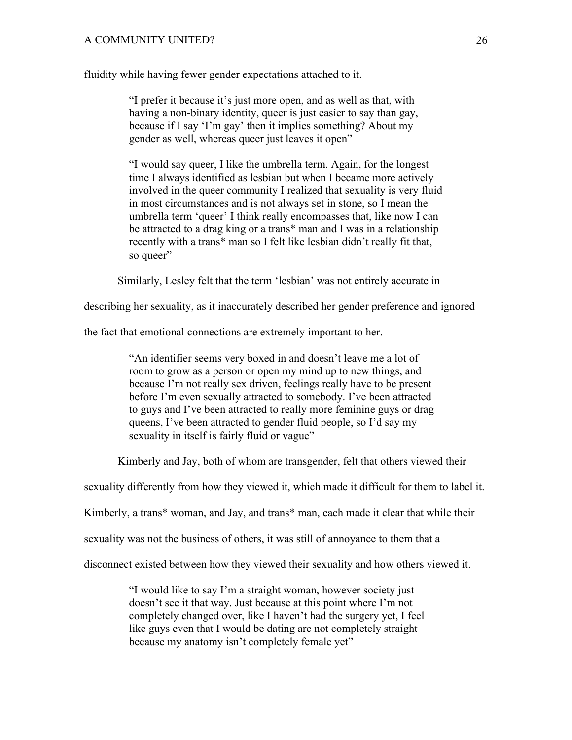fluidity while having fewer gender expectations attached to it.

"I prefer it because it's just more open, and as well as that, with having a non-binary identity, queer is just easier to say than gay, because if I say 'I'm gay' then it implies something? About my gender as well, whereas queer just leaves it open"

"I would say queer, I like the umbrella term. Again, for the longest time I always identified as lesbian but when I became more actively involved in the queer community I realized that sexuality is very fluid in most circumstances and is not always set in stone, so I mean the umbrella term 'queer' I think really encompasses that, like now I can be attracted to a drag king or a trans\* man and I was in a relationship recently with a trans\* man so I felt like lesbian didn't really fit that, so queer"

Similarly, Lesley felt that the term 'lesbian' was not entirely accurate in

describing her sexuality, as it inaccurately described her gender preference and ignored

the fact that emotional connections are extremely important to her.

"An identifier seems very boxed in and doesn't leave me a lot of room to grow as a person or open my mind up to new things, and because I'm not really sex driven, feelings really have to be present before I'm even sexually attracted to somebody. I've been attracted to guys and I've been attracted to really more feminine guys or drag queens, I've been attracted to gender fluid people, so I'd say my sexuality in itself is fairly fluid or vague"

Kimberly and Jay, both of whom are transgender, felt that others viewed their

sexuality differently from how they viewed it, which made it difficult for them to label it.

Kimberly, a trans\* woman, and Jay, and trans\* man, each made it clear that while their

sexuality was not the business of others, it was still of annoyance to them that a

disconnect existed between how they viewed their sexuality and how others viewed it.

"I would like to say I'm a straight woman, however society just doesn't see it that way. Just because at this point where I'm not completely changed over, like I haven't had the surgery yet, I feel like guys even that I would be dating are not completely straight because my anatomy isn't completely female yet"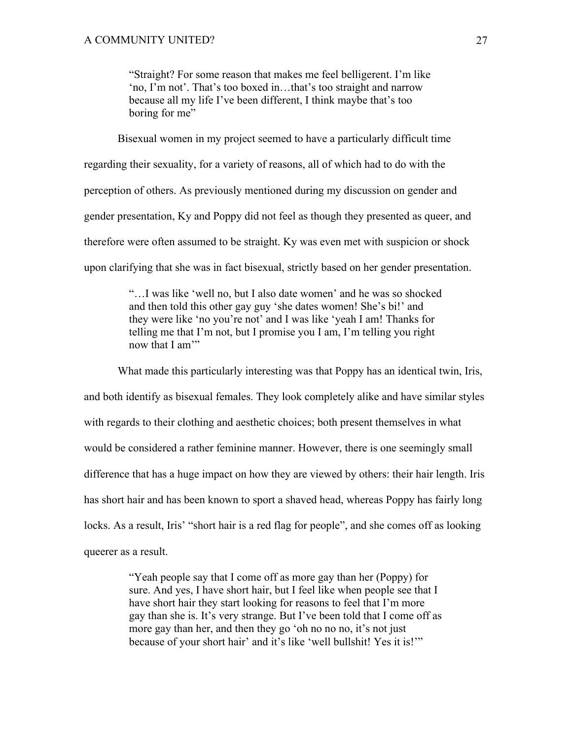"Straight? For some reason that makes me feel belligerent. I'm like 'no, I'm not'. That's too boxed in…that's too straight and narrow because all my life I've been different, I think maybe that's too boring for me"

Bisexual women in my project seemed to have a particularly difficult time regarding their sexuality, for a variety of reasons, all of which had to do with the perception of others. As previously mentioned during my discussion on gender and gender presentation, Ky and Poppy did not feel as though they presented as queer, and therefore were often assumed to be straight. Ky was even met with suspicion or shock upon clarifying that she was in fact bisexual, strictly based on her gender presentation.

> "…I was like 'well no, but I also date women' and he was so shocked and then told this other gay guy 'she dates women! She's bi!' and they were like 'no you're not' and I was like 'yeah I am! Thanks for telling me that I'm not, but I promise you I am, I'm telling you right now that I am"

What made this particularly interesting was that Poppy has an identical twin, Iris, and both identify as bisexual females. They look completely alike and have similar styles with regards to their clothing and aesthetic choices; both present themselves in what would be considered a rather feminine manner. However, there is one seemingly small difference that has a huge impact on how they are viewed by others: their hair length. Iris has short hair and has been known to sport a shaved head, whereas Poppy has fairly long locks. As a result, Iris' "short hair is a red flag for people", and she comes off as looking queerer as a result.

> "Yeah people say that I come off as more gay than her (Poppy) for sure. And yes, I have short hair, but I feel like when people see that I have short hair they start looking for reasons to feel that I'm more gay than she is. It's very strange. But I've been told that I come off as more gay than her, and then they go 'oh no no no, it's not just because of your short hair' and it's like 'well bullshit! Yes it is!'"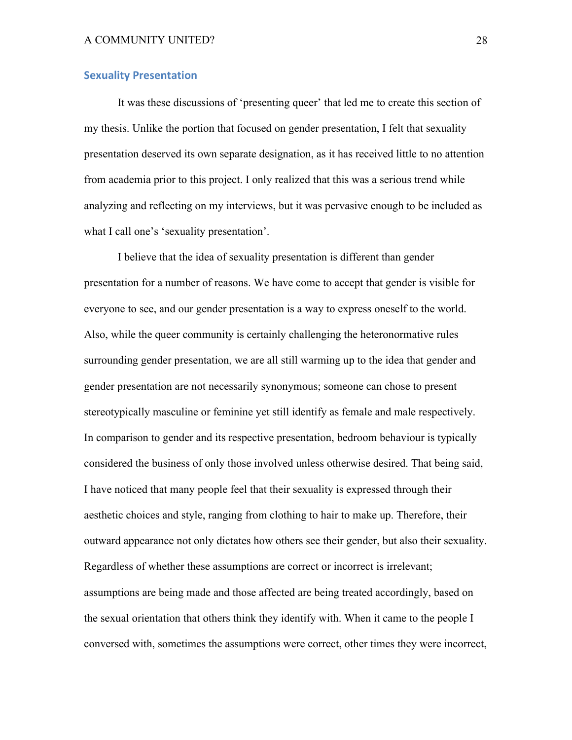## **Sexuality Presentation**

It was these discussions of 'presenting queer' that led me to create this section of my thesis. Unlike the portion that focused on gender presentation, I felt that sexuality presentation deserved its own separate designation, as it has received little to no attention from academia prior to this project. I only realized that this was a serious trend while analyzing and reflecting on my interviews, but it was pervasive enough to be included as what I call one's 'sexuality presentation'.

I believe that the idea of sexuality presentation is different than gender presentation for a number of reasons. We have come to accept that gender is visible for everyone to see, and our gender presentation is a way to express oneself to the world. Also, while the queer community is certainly challenging the heteronormative rules surrounding gender presentation, we are all still warming up to the idea that gender and gender presentation are not necessarily synonymous; someone can chose to present stereotypically masculine or feminine yet still identify as female and male respectively. In comparison to gender and its respective presentation, bedroom behaviour is typically considered the business of only those involved unless otherwise desired. That being said, I have noticed that many people feel that their sexuality is expressed through their aesthetic choices and style, ranging from clothing to hair to make up. Therefore, their outward appearance not only dictates how others see their gender, but also their sexuality. Regardless of whether these assumptions are correct or incorrect is irrelevant; assumptions are being made and those affected are being treated accordingly, based on the sexual orientation that others think they identify with. When it came to the people I conversed with, sometimes the assumptions were correct, other times they were incorrect,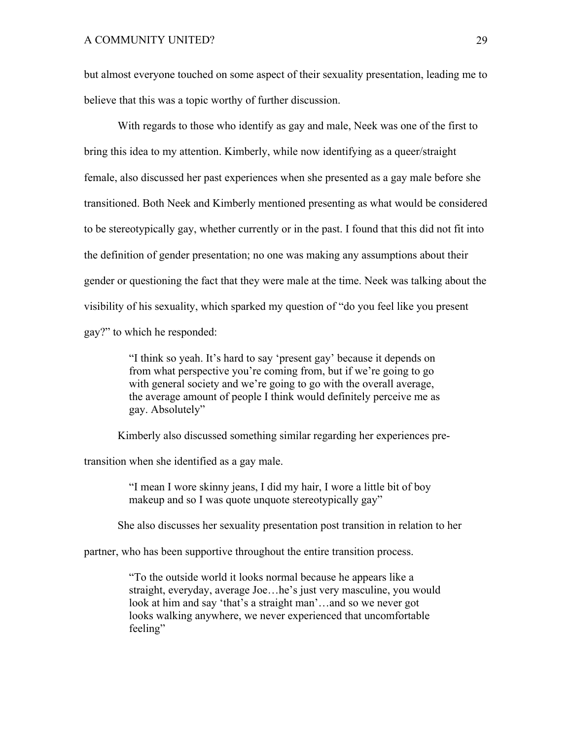but almost everyone touched on some aspect of their sexuality presentation, leading me to believe that this was a topic worthy of further discussion.

With regards to those who identify as gay and male, Neek was one of the first to bring this idea to my attention. Kimberly, while now identifying as a queer/straight female, also discussed her past experiences when she presented as a gay male before she transitioned. Both Neek and Kimberly mentioned presenting as what would be considered to be stereotypically gay, whether currently or in the past. I found that this did not fit into the definition of gender presentation; no one was making any assumptions about their gender or questioning the fact that they were male at the time. Neek was talking about the visibility of his sexuality, which sparked my question of "do you feel like you present gay?" to which he responded:

> "I think so yeah. It's hard to say 'present gay' because it depends on from what perspective you're coming from, but if we're going to go with general society and we're going to go with the overall average, the average amount of people I think would definitely perceive me as gay. Absolutely"

Kimberly also discussed something similar regarding her experiences pre-

transition when she identified as a gay male.

"I mean I wore skinny jeans, I did my hair, I wore a little bit of boy makeup and so I was quote unquote stereotypically gay"

She also discusses her sexuality presentation post transition in relation to her

partner, who has been supportive throughout the entire transition process.

"To the outside world it looks normal because he appears like a straight, everyday, average Joe…he's just very masculine, you would look at him and say 'that's a straight man'…and so we never got looks walking anywhere, we never experienced that uncomfortable feeling"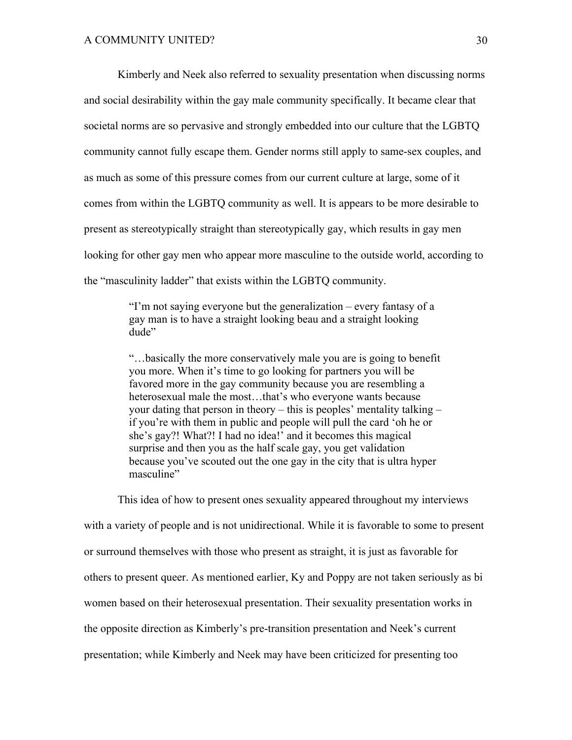Kimberly and Neek also referred to sexuality presentation when discussing norms and social desirability within the gay male community specifically. It became clear that societal norms are so pervasive and strongly embedded into our culture that the LGBTQ community cannot fully escape them. Gender norms still apply to same-sex couples, and as much as some of this pressure comes from our current culture at large, some of it comes from within the LGBTQ community as well. It is appears to be more desirable to present as stereotypically straight than stereotypically gay, which results in gay men looking for other gay men who appear more masculine to the outside world, according to the "masculinity ladder" that exists within the LGBTQ community.

> "I'm not saying everyone but the generalization – every fantasy of a gay man is to have a straight looking beau and a straight looking dude"

"…basically the more conservatively male you are is going to benefit you more. When it's time to go looking for partners you will be favored more in the gay community because you are resembling a heterosexual male the most…that's who everyone wants because your dating that person in theory – this is peoples' mentality talking – if you're with them in public and people will pull the card 'oh he or she's gay?! What?! I had no idea!' and it becomes this magical surprise and then you as the half scale gay, you get validation because you've scouted out the one gay in the city that is ultra hyper masculine"

This idea of how to present ones sexuality appeared throughout my interviews with a variety of people and is not unidirectional. While it is favorable to some to present or surround themselves with those who present as straight, it is just as favorable for others to present queer. As mentioned earlier, Ky and Poppy are not taken seriously as bi women based on their heterosexual presentation. Their sexuality presentation works in the opposite direction as Kimberly's pre-transition presentation and Neek's current presentation; while Kimberly and Neek may have been criticized for presenting too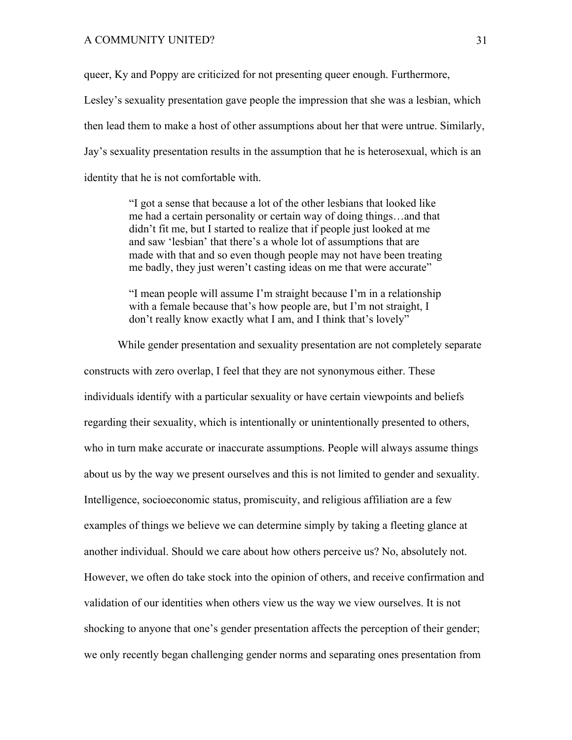queer, Ky and Poppy are criticized for not presenting queer enough. Furthermore,

Lesley's sexuality presentation gave people the impression that she was a lesbian, which then lead them to make a host of other assumptions about her that were untrue. Similarly, Jay's sexuality presentation results in the assumption that he is heterosexual, which is an identity that he is not comfortable with.

> "I got a sense that because a lot of the other lesbians that looked like me had a certain personality or certain way of doing things…and that didn't fit me, but I started to realize that if people just looked at me and saw 'lesbian' that there's a whole lot of assumptions that are made with that and so even though people may not have been treating me badly, they just weren't casting ideas on me that were accurate"

> "I mean people will assume I'm straight because I'm in a relationship with a female because that's how people are, but I'm not straight, I don't really know exactly what I am, and I think that's lovely"

While gender presentation and sexuality presentation are not completely separate constructs with zero overlap, I feel that they are not synonymous either. These individuals identify with a particular sexuality or have certain viewpoints and beliefs regarding their sexuality, which is intentionally or unintentionally presented to others, who in turn make accurate or inaccurate assumptions. People will always assume things about us by the way we present ourselves and this is not limited to gender and sexuality. Intelligence, socioeconomic status, promiscuity, and religious affiliation are a few examples of things we believe we can determine simply by taking a fleeting glance at another individual. Should we care about how others perceive us? No, absolutely not. However, we often do take stock into the opinion of others, and receive confirmation and validation of our identities when others view us the way we view ourselves. It is not shocking to anyone that one's gender presentation affects the perception of their gender; we only recently began challenging gender norms and separating ones presentation from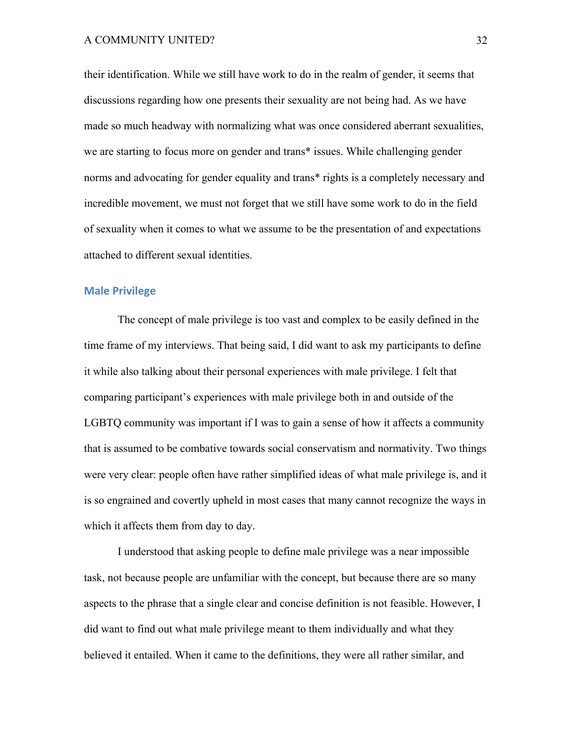their identification. While we still have work to do in the realm of gender, it seems that discussions regarding how one presents their sexuality are not being had. As we have made so much headway with normalizing what was once considered aberrant sexualities, we are starting to focus more on gender and trans\* issues. While challenging gender norms and advocating for gender equality and trans\* rights is a completely necessary and incredible movement, we must not forget that we still have some work to do in the field of sexuality when it comes to what we assume to be the presentation of and expectations attached to different sexual identities.

## **Male Privilege**

The concept of male privilege is too vast and complex to be easily defined in the time frame of my interviews. That being said, I did want to ask my participants to define it while also talking about their personal experiences with male privilege. I felt that comparing participant's experiences with male privilege both in and outside of the LGBTQ community was important if I was to gain a sense of how it affects a community that is assumed to be combative towards social conservatism and normativity. Two things were very clear: people often have rather simplified ideas of what male privilege is, and it is so engrained and covertly upheld in most cases that many cannot recognize the ways in which it affects them from day to day.

I understood that asking people to define male privilege was a near impossible task, not because people are unfamiliar with the concept, but because there are so many aspects to the phrase that a single clear and concise definition is not feasible. However, I did want to find out what male privilege meant to them individually and what they believed it entailed. When it came to the definitions, they were all rather similar, and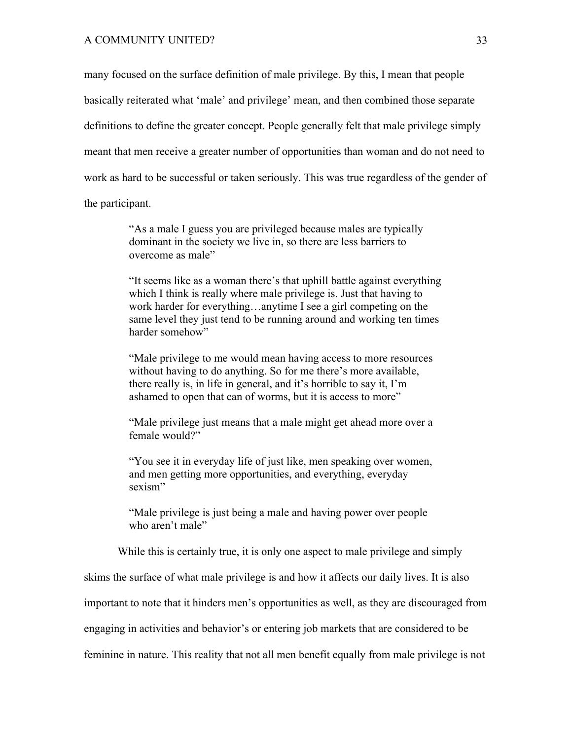many focused on the surface definition of male privilege. By this, I mean that people basically reiterated what 'male' and privilege' mean, and then combined those separate definitions to define the greater concept. People generally felt that male privilege simply meant that men receive a greater number of opportunities than woman and do not need to work as hard to be successful or taken seriously. This was true regardless of the gender of the participant.

> "As a male I guess you are privileged because males are typically dominant in the society we live in, so there are less barriers to overcome as male"

"It seems like as a woman there's that uphill battle against everything which I think is really where male privilege is. Just that having to work harder for everything…anytime I see a girl competing on the same level they just tend to be running around and working ten times harder somehow"

"Male privilege to me would mean having access to more resources without having to do anything. So for me there's more available, there really is, in life in general, and it's horrible to say it, I'm ashamed to open that can of worms, but it is access to more"

"Male privilege just means that a male might get ahead more over a female would?"

"You see it in everyday life of just like, men speaking over women, and men getting more opportunities, and everything, everyday sexism"

"Male privilege is just being a male and having power over people who aren't male"

While this is certainly true, it is only one aspect to male privilege and simply

skims the surface of what male privilege is and how it affects our daily lives. It is also

important to note that it hinders men's opportunities as well, as they are discouraged from

engaging in activities and behavior's or entering job markets that are considered to be

feminine in nature. This reality that not all men benefit equally from male privilege is not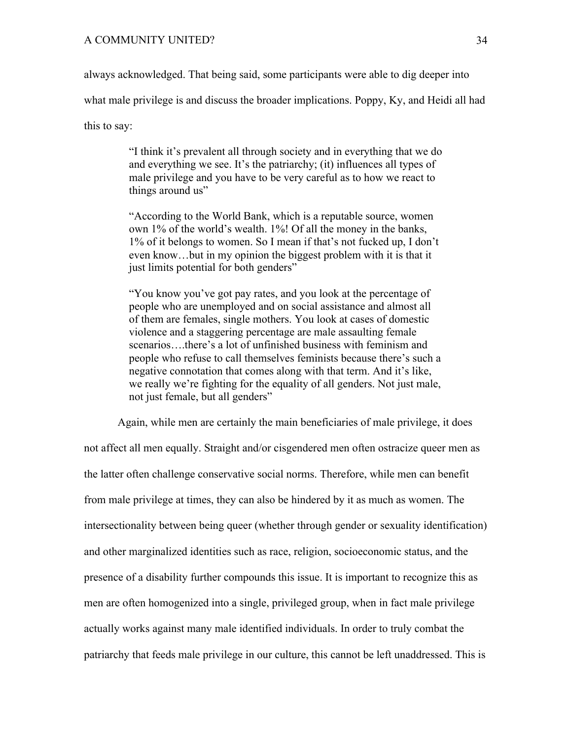always acknowledged. That being said, some participants were able to dig deeper into

what male privilege is and discuss the broader implications. Poppy, Ky, and Heidi all had

this to say:

"I think it's prevalent all through society and in everything that we do and everything we see. It's the patriarchy; (it) influences all types of male privilege and you have to be very careful as to how we react to things around us"

"According to the World Bank, which is a reputable source, women own 1% of the world's wealth. 1%! Of all the money in the banks, 1% of it belongs to women. So I mean if that's not fucked up, I don't even know…but in my opinion the biggest problem with it is that it just limits potential for both genders"

"You know you've got pay rates, and you look at the percentage of people who are unemployed and on social assistance and almost all of them are females, single mothers. You look at cases of domestic violence and a staggering percentage are male assaulting female scenarios….there's a lot of unfinished business with feminism and people who refuse to call themselves feminists because there's such a negative connotation that comes along with that term. And it's like, we really we're fighting for the equality of all genders. Not just male, not just female, but all genders"

Again, while men are certainly the main beneficiaries of male privilege, it does

not affect all men equally. Straight and/or cisgendered men often ostracize queer men as the latter often challenge conservative social norms. Therefore, while men can benefit from male privilege at times, they can also be hindered by it as much as women. The intersectionality between being queer (whether through gender or sexuality identification) and other marginalized identities such as race, religion, socioeconomic status, and the presence of a disability further compounds this issue. It is important to recognize this as men are often homogenized into a single, privileged group, when in fact male privilege actually works against many male identified individuals. In order to truly combat the patriarchy that feeds male privilege in our culture, this cannot be left unaddressed. This is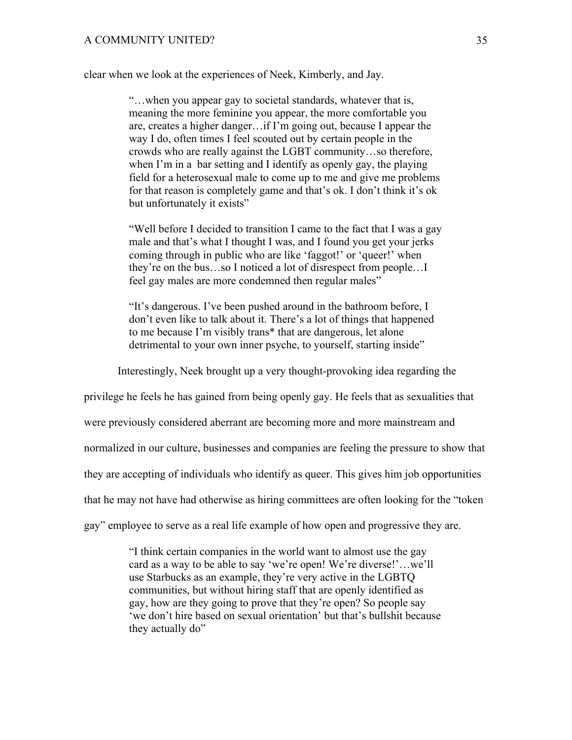clear when we look at the experiences of Neek, Kimberly, and Jay.

"…when you appear gay to societal standards, whatever that is, meaning the more feminine you appear, the more comfortable you are, creates a higher danger…if I'm going out, because I appear the way I do, often times I feel scouted out by certain people in the crowds who are really against the LGBT community…so therefore, when I'm in a bar setting and I identify as openly gay, the playing field for a heterosexual male to come up to me and give me problems for that reason is completely game and that's ok. I don't think it's ok but unfortunately it exists"

"Well before I decided to transition I came to the fact that I was a gay male and that's what I thought I was, and I found you get your jerks coming through in public who are like 'faggot!' or 'queer!' when they're on the bus…so I noticed a lot of disrespect from people…I feel gay males are more condemned then regular males"

"It's dangerous. I've been pushed around in the bathroom before, I don't even like to talk about it. There's a lot of things that happened to me because I'm visibly trans\* that are dangerous, let alone detrimental to your own inner psyche, to yourself, starting inside"

Interestingly, Neek brought up a very thought-provoking idea regarding the

privilege he feels he has gained from being openly gay. He feels that as sexualities that

were previously considered aberrant are becoming more and more mainstream and

normalized in our culture, businesses and companies are feeling the pressure to show that

they are accepting of individuals who identify as queer. This gives him job opportunities

that he may not have had otherwise as hiring committees are often looking for the "token

gay" employee to serve as a real life example of how open and progressive they are.

"I think certain companies in the world want to almost use the gay card as a way to be able to say 'we're open! We're diverse!'…we'll use Starbucks as an example, they're very active in the LGBTQ communities, but without hiring staff that are openly identified as gay, how are they going to prove that they're open? So people say 'we don't hire based on sexual orientation' but that's bullshit because they actually do"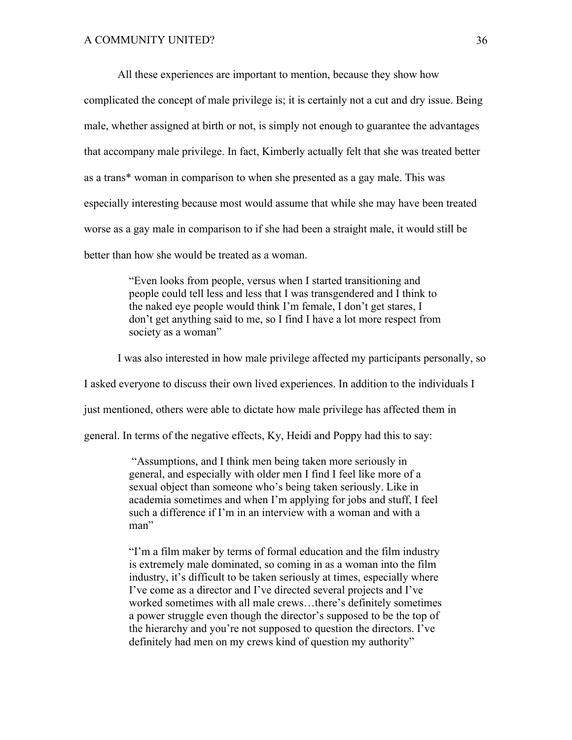All these experiences are important to mention, because they show how

complicated the concept of male privilege is; it is certainly not a cut and dry issue. Being male, whether assigned at birth or not, is simply not enough to guarantee the advantages that accompany male privilege. In fact, Kimberly actually felt that she was treated better as a trans\* woman in comparison to when she presented as a gay male. This was especially interesting because most would assume that while she may have been treated worse as a gay male in comparison to if she had been a straight male, it would still be better than how she would be treated as a woman.

> "Even looks from people, versus when I started transitioning and people could tell less and less that I was transgendered and I think to the naked eye people would think I'm female, I don't get stares, I don't get anything said to me, so I find I have a lot more respect from society as a woman"

I was also interested in how male privilege affected my participants personally, so

I asked everyone to discuss their own lived experiences. In addition to the individuals I

just mentioned, others were able to dictate how male privilege has affected them in

general. In terms of the negative effects, Ky, Heidi and Poppy had this to say:

"Assumptions, and I think men being taken more seriously in general, and especially with older men I find I feel like more of a sexual object than someone who's being taken seriously. Like in academia sometimes and when I'm applying for jobs and stuff, I feel such a difference if I'm in an interview with a woman and with a man"

"I'm a film maker by terms of formal education and the film industry is extremely male dominated, so coming in as a woman into the film industry, it's difficult to be taken seriously at times, especially where I've come as a director and I've directed several projects and I've worked sometimes with all male crews…there's definitely sometimes a power struggle even though the director's supposed to be the top of the hierarchy and you're not supposed to question the directors. I've definitely had men on my crews kind of question my authority"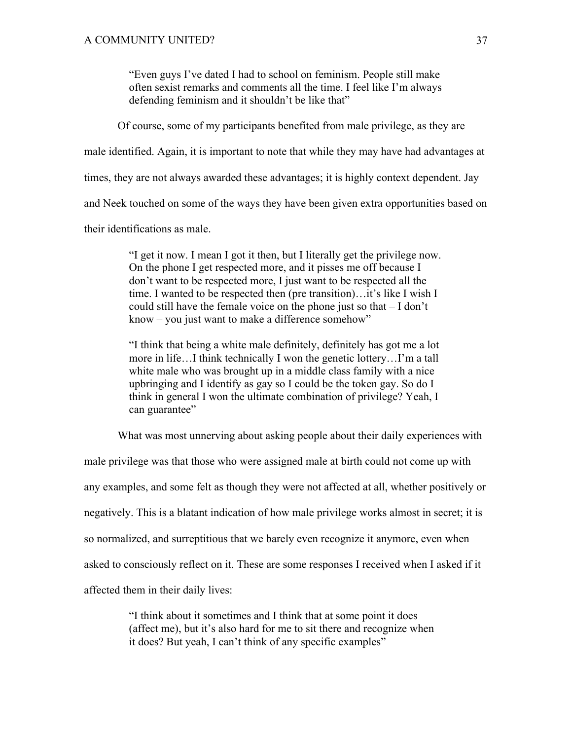"Even guys I've dated I had to school on feminism. People still make often sexist remarks and comments all the time. I feel like I'm always defending feminism and it shouldn't be like that"

Of course, some of my participants benefited from male privilege, as they are

male identified. Again, it is important to note that while they may have had advantages at

times, they are not always awarded these advantages; it is highly context dependent. Jay

and Neek touched on some of the ways they have been given extra opportunities based on

their identifications as male.

"I get it now. I mean I got it then, but I literally get the privilege now. On the phone I get respected more, and it pisses me off because I don't want to be respected more, I just want to be respected all the time. I wanted to be respected then (pre transition)…it's like I wish I could still have the female voice on the phone just so that – I don't know – you just want to make a difference somehow"

"I think that being a white male definitely, definitely has got me a lot more in life…I think technically I won the genetic lottery…I'm a tall white male who was brought up in a middle class family with a nice upbringing and I identify as gay so I could be the token gay. So do I think in general I won the ultimate combination of privilege? Yeah, I can guarantee"

What was most unnerving about asking people about their daily experiences with

male privilege was that those who were assigned male at birth could not come up with any examples, and some felt as though they were not affected at all, whether positively or negatively. This is a blatant indication of how male privilege works almost in secret; it is so normalized, and surreptitious that we barely even recognize it anymore, even when asked to consciously reflect on it. These are some responses I received when I asked if it affected them in their daily lives:

> "I think about it sometimes and I think that at some point it does (affect me), but it's also hard for me to sit there and recognize when it does? But yeah, I can't think of any specific examples"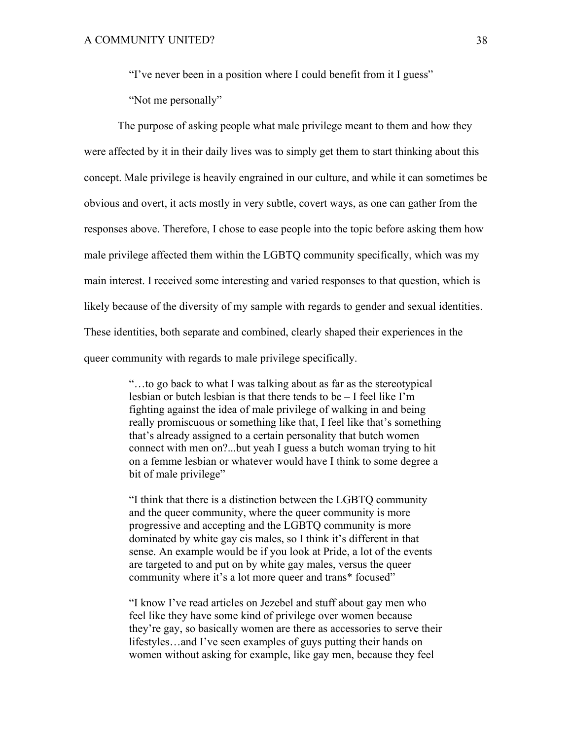"I've never been in a position where I could benefit from it I guess"

"Not me personally"

The purpose of asking people what male privilege meant to them and how they were affected by it in their daily lives was to simply get them to start thinking about this concept. Male privilege is heavily engrained in our culture, and while it can sometimes be obvious and overt, it acts mostly in very subtle, covert ways, as one can gather from the responses above. Therefore, I chose to ease people into the topic before asking them how male privilege affected them within the LGBTQ community specifically, which was my main interest. I received some interesting and varied responses to that question, which is likely because of the diversity of my sample with regards to gender and sexual identities. These identities, both separate and combined, clearly shaped their experiences in the queer community with regards to male privilege specifically.

> "…to go back to what I was talking about as far as the stereotypical lesbian or butch lesbian is that there tends to be – I feel like I'm fighting against the idea of male privilege of walking in and being really promiscuous or something like that, I feel like that's something that's already assigned to a certain personality that butch women connect with men on?...but yeah I guess a butch woman trying to hit on a femme lesbian or whatever would have I think to some degree a bit of male privilege"

"I think that there is a distinction between the LGBTQ community and the queer community, where the queer community is more progressive and accepting and the LGBTQ community is more dominated by white gay cis males, so I think it's different in that sense. An example would be if you look at Pride, a lot of the events are targeted to and put on by white gay males, versus the queer community where it's a lot more queer and trans\* focused"

"I know I've read articles on Jezebel and stuff about gay men who feel like they have some kind of privilege over women because they're gay, so basically women are there as accessories to serve their lifestyles…and I've seen examples of guys putting their hands on women without asking for example, like gay men, because they feel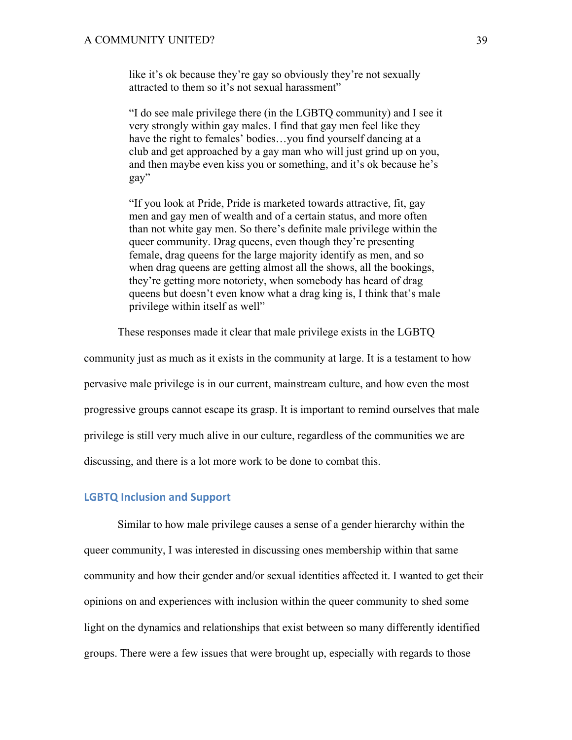like it's ok because they're gay so obviously they're not sexually attracted to them so it's not sexual harassment"

"I do see male privilege there (in the LGBTQ community) and I see it very strongly within gay males. I find that gay men feel like they have the right to females' bodies…you find yourself dancing at a club and get approached by a gay man who will just grind up on you, and then maybe even kiss you or something, and it's ok because he's gay"

"If you look at Pride, Pride is marketed towards attractive, fit, gay men and gay men of wealth and of a certain status, and more often than not white gay men. So there's definite male privilege within the queer community. Drag queens, even though they're presenting female, drag queens for the large majority identify as men, and so when drag queens are getting almost all the shows, all the bookings, they're getting more notoriety, when somebody has heard of drag queens but doesn't even know what a drag king is, I think that's male privilege within itself as well"

These responses made it clear that male privilege exists in the LGBTQ

community just as much as it exists in the community at large. It is a testament to how pervasive male privilege is in our current, mainstream culture, and how even the most progressive groups cannot escape its grasp. It is important to remind ourselves that male privilege is still very much alive in our culture, regardless of the communities we are discussing, and there is a lot more work to be done to combat this.

## **LGBTQ Inclusion and Support**

Similar to how male privilege causes a sense of a gender hierarchy within the queer community, I was interested in discussing ones membership within that same community and how their gender and/or sexual identities affected it. I wanted to get their opinions on and experiences with inclusion within the queer community to shed some light on the dynamics and relationships that exist between so many differently identified groups. There were a few issues that were brought up, especially with regards to those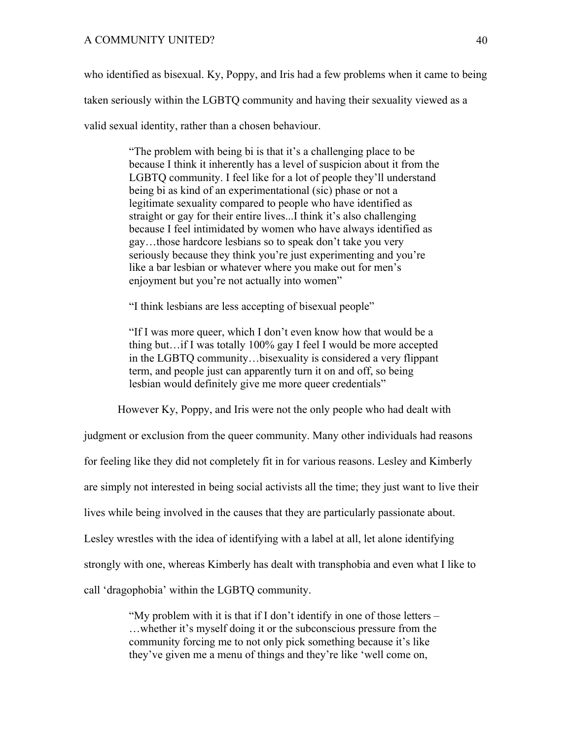who identified as bisexual. Ky, Poppy, and Iris had a few problems when it came to being

taken seriously within the LGBTQ community and having their sexuality viewed as a

valid sexual identity, rather than a chosen behaviour.

"The problem with being bi is that it's a challenging place to be because I think it inherently has a level of suspicion about it from the LGBTQ community. I feel like for a lot of people they'll understand being bi as kind of an experimentational (sic) phase or not a legitimate sexuality compared to people who have identified as straight or gay for their entire lives...I think it's also challenging because I feel intimidated by women who have always identified as gay…those hardcore lesbians so to speak don't take you very seriously because they think you're just experimenting and you're like a bar lesbian or whatever where you make out for men's enjoyment but you're not actually into women"

"I think lesbians are less accepting of bisexual people"

"If I was more queer, which I don't even know how that would be a thing but…if I was totally 100% gay I feel I would be more accepted in the LGBTQ community…bisexuality is considered a very flippant term, and people just can apparently turn it on and off, so being lesbian would definitely give me more queer credentials"

However Ky, Poppy, and Iris were not the only people who had dealt with

judgment or exclusion from the queer community. Many other individuals had reasons for feeling like they did not completely fit in for various reasons. Lesley and Kimberly are simply not interested in being social activists all the time; they just want to live their lives while being involved in the causes that they are particularly passionate about. Lesley wrestles with the idea of identifying with a label at all, let alone identifying strongly with one, whereas Kimberly has dealt with transphobia and even what I like to call 'dragophobia' within the LGBTQ community.

> "My problem with it is that if I don't identify in one of those letters – …whether it's myself doing it or the subconscious pressure from the community forcing me to not only pick something because it's like they've given me a menu of things and they're like 'well come on,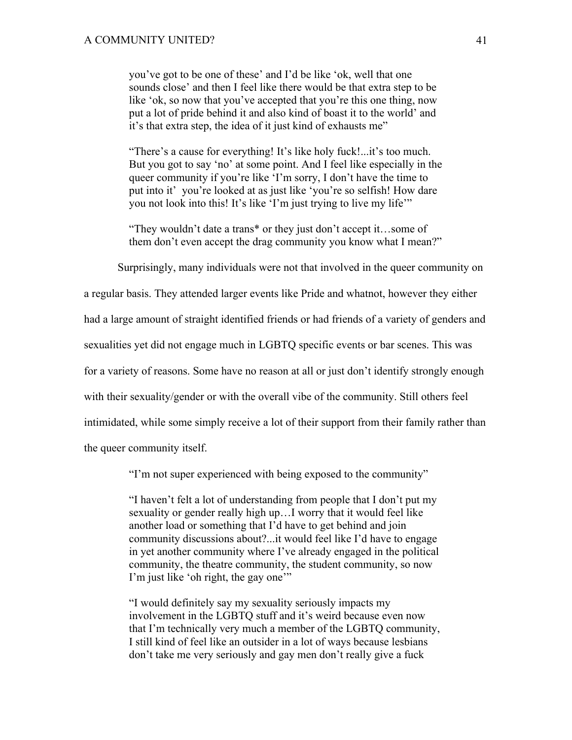you've got to be one of these' and I'd be like 'ok, well that one sounds close' and then I feel like there would be that extra step to be like 'ok, so now that you've accepted that you're this one thing, now put a lot of pride behind it and also kind of boast it to the world' and it's that extra step, the idea of it just kind of exhausts me"

"There's a cause for everything! It's like holy fuck!...it's too much. But you got to say 'no' at some point. And I feel like especially in the queer community if you're like 'I'm sorry, I don't have the time to put into it' you're looked at as just like 'you're so selfish! How dare you not look into this! It's like 'I'm just trying to live my life'"

"They wouldn't date a trans\* or they just don't accept it…some of them don't even accept the drag community you know what I mean?"

Surprisingly, many individuals were not that involved in the queer community on

a regular basis. They attended larger events like Pride and whatnot, however they either had a large amount of straight identified friends or had friends of a variety of genders and

sexualities yet did not engage much in LGBTQ specific events or bar scenes. This was

for a variety of reasons. Some have no reason at all or just don't identify strongly enough

with their sexuality/gender or with the overall vibe of the community. Still others feel

intimidated, while some simply receive a lot of their support from their family rather than

the queer community itself.

"I'm not super experienced with being exposed to the community"

"I haven't felt a lot of understanding from people that I don't put my sexuality or gender really high up…I worry that it would feel like another load or something that I'd have to get behind and join community discussions about?...it would feel like I'd have to engage in yet another community where I've already engaged in the political community, the theatre community, the student community, so now I'm just like 'oh right, the gay one'"

"I would definitely say my sexuality seriously impacts my involvement in the LGBTQ stuff and it's weird because even now that I'm technically very much a member of the LGBTQ community, I still kind of feel like an outsider in a lot of ways because lesbians don't take me very seriously and gay men don't really give a fuck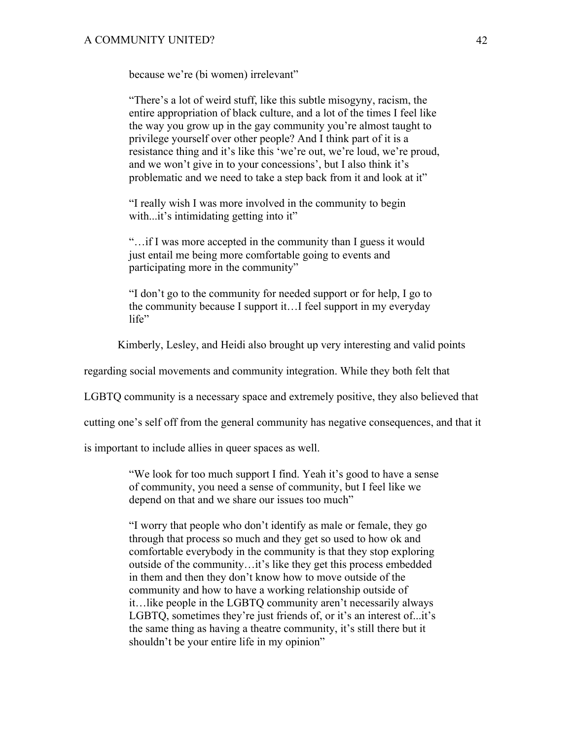because we're (bi women) irrelevant"

"There's a lot of weird stuff, like this subtle misogyny, racism, the entire appropriation of black culture, and a lot of the times I feel like the way you grow up in the gay community you're almost taught to privilege yourself over other people? And I think part of it is a resistance thing and it's like this 'we're out, we're loud, we're proud, and we won't give in to your concessions', but I also think it's problematic and we need to take a step back from it and look at it"

"I really wish I was more involved in the community to begin with...it's intimidating getting into it"

"…if I was more accepted in the community than I guess it would just entail me being more comfortable going to events and participating more in the community"

"I don't go to the community for needed support or for help, I go to the community because I support it…I feel support in my everyday life"

Kimberly, Lesley, and Heidi also brought up very interesting and valid points

regarding social movements and community integration. While they both felt that

LGBTQ community is a necessary space and extremely positive, they also believed that

cutting one's self off from the general community has negative consequences, and that it

is important to include allies in queer spaces as well.

"We look for too much support I find. Yeah it's good to have a sense of community, you need a sense of community, but I feel like we depend on that and we share our issues too much"

"I worry that people who don't identify as male or female, they go through that process so much and they get so used to how ok and comfortable everybody in the community is that they stop exploring outside of the community…it's like they get this process embedded in them and then they don't know how to move outside of the community and how to have a working relationship outside of it…like people in the LGBTQ community aren't necessarily always LGBTQ, sometimes they're just friends of, or it's an interest of...it's the same thing as having a theatre community, it's still there but it shouldn't be your entire life in my opinion"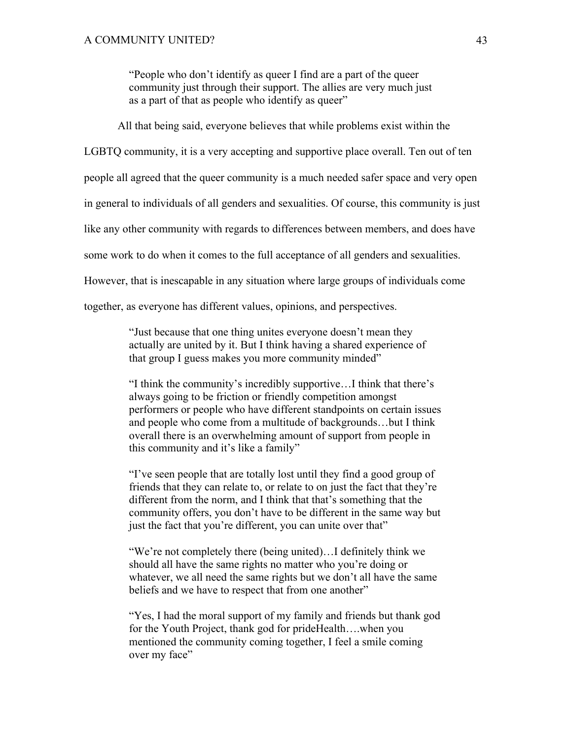"People who don't identify as queer I find are a part of the queer community just through their support. The allies are very much just as a part of that as people who identify as queer"

All that being said, everyone believes that while problems exist within the

LGBTQ community, it is a very accepting and supportive place overall. Ten out of ten

people all agreed that the queer community is a much needed safer space and very open

in general to individuals of all genders and sexualities. Of course, this community is just

like any other community with regards to differences between members, and does have

some work to do when it comes to the full acceptance of all genders and sexualities.

However, that is inescapable in any situation where large groups of individuals come

together, as everyone has different values, opinions, and perspectives.

"Just because that one thing unites everyone doesn't mean they actually are united by it. But I think having a shared experience of that group I guess makes you more community minded"

"I think the community's incredibly supportive…I think that there's always going to be friction or friendly competition amongst performers or people who have different standpoints on certain issues and people who come from a multitude of backgrounds…but I think overall there is an overwhelming amount of support from people in this community and it's like a family"

"I've seen people that are totally lost until they find a good group of friends that they can relate to, or relate to on just the fact that they're different from the norm, and I think that that's something that the community offers, you don't have to be different in the same way but just the fact that you're different, you can unite over that"

"We're not completely there (being united)…I definitely think we should all have the same rights no matter who you're doing or whatever, we all need the same rights but we don't all have the same beliefs and we have to respect that from one another"

"Yes, I had the moral support of my family and friends but thank god for the Youth Project, thank god for prideHealth….when you mentioned the community coming together, I feel a smile coming over my face"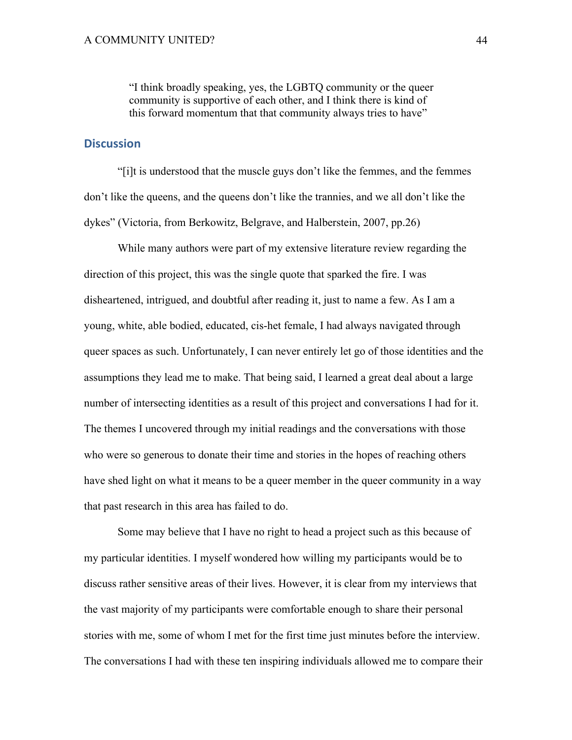"I think broadly speaking, yes, the LGBTQ community or the queer community is supportive of each other, and I think there is kind of this forward momentum that that community always tries to have"

## **Discussion**

"[i]t is understood that the muscle guys don't like the femmes, and the femmes don't like the queens, and the queens don't like the trannies, and we all don't like the dykes" (Victoria, from Berkowitz, Belgrave, and Halberstein, 2007, pp.26)

While many authors were part of my extensive literature review regarding the direction of this project, this was the single quote that sparked the fire. I was disheartened, intrigued, and doubtful after reading it, just to name a few. As I am a young, white, able bodied, educated, cis-het female, I had always navigated through queer spaces as such. Unfortunately, I can never entirely let go of those identities and the assumptions they lead me to make. That being said, I learned a great deal about a large number of intersecting identities as a result of this project and conversations I had for it. The themes I uncovered through my initial readings and the conversations with those who were so generous to donate their time and stories in the hopes of reaching others have shed light on what it means to be a queer member in the queer community in a way that past research in this area has failed to do.

Some may believe that I have no right to head a project such as this because of my particular identities. I myself wondered how willing my participants would be to discuss rather sensitive areas of their lives. However, it is clear from my interviews that the vast majority of my participants were comfortable enough to share their personal stories with me, some of whom I met for the first time just minutes before the interview. The conversations I had with these ten inspiring individuals allowed me to compare their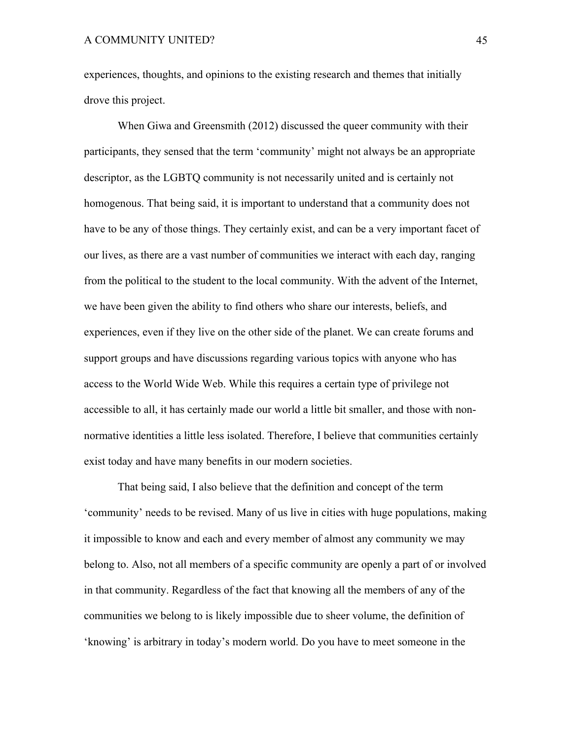experiences, thoughts, and opinions to the existing research and themes that initially drove this project.

When Giwa and Greensmith (2012) discussed the queer community with their participants, they sensed that the term 'community' might not always be an appropriate descriptor, as the LGBTQ community is not necessarily united and is certainly not homogenous. That being said, it is important to understand that a community does not have to be any of those things. They certainly exist, and can be a very important facet of our lives, as there are a vast number of communities we interact with each day, ranging from the political to the student to the local community. With the advent of the Internet, we have been given the ability to find others who share our interests, beliefs, and experiences, even if they live on the other side of the planet. We can create forums and support groups and have discussions regarding various topics with anyone who has access to the World Wide Web. While this requires a certain type of privilege not accessible to all, it has certainly made our world a little bit smaller, and those with nonnormative identities a little less isolated. Therefore, I believe that communities certainly exist today and have many benefits in our modern societies.

That being said, I also believe that the definition and concept of the term 'community' needs to be revised. Many of us live in cities with huge populations, making it impossible to know and each and every member of almost any community we may belong to. Also, not all members of a specific community are openly a part of or involved in that community. Regardless of the fact that knowing all the members of any of the communities we belong to is likely impossible due to sheer volume, the definition of 'knowing' is arbitrary in today's modern world. Do you have to meet someone in the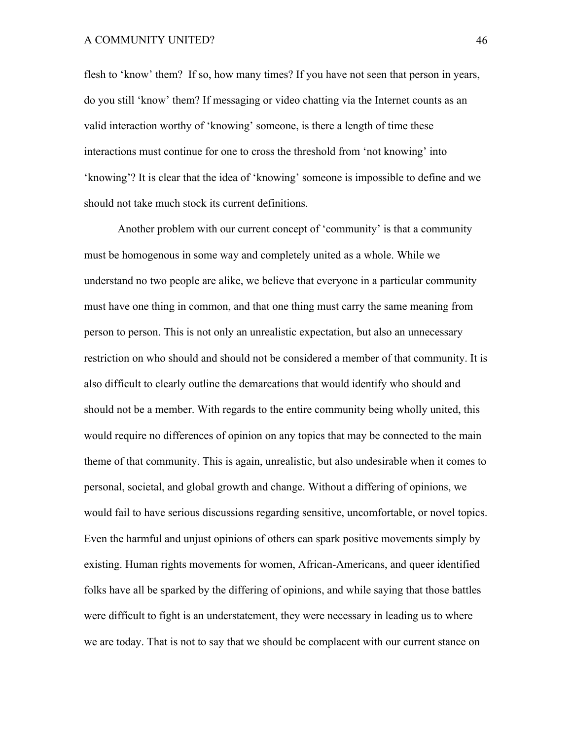flesh to 'know' them? If so, how many times? If you have not seen that person in years, do you still 'know' them? If messaging or video chatting via the Internet counts as an valid interaction worthy of 'knowing' someone, is there a length of time these interactions must continue for one to cross the threshold from 'not knowing' into 'knowing'? It is clear that the idea of 'knowing' someone is impossible to define and we should not take much stock its current definitions.

Another problem with our current concept of 'community' is that a community must be homogenous in some way and completely united as a whole. While we understand no two people are alike, we believe that everyone in a particular community must have one thing in common, and that one thing must carry the same meaning from person to person. This is not only an unrealistic expectation, but also an unnecessary restriction on who should and should not be considered a member of that community. It is also difficult to clearly outline the demarcations that would identify who should and should not be a member. With regards to the entire community being wholly united, this would require no differences of opinion on any topics that may be connected to the main theme of that community. This is again, unrealistic, but also undesirable when it comes to personal, societal, and global growth and change. Without a differing of opinions, we would fail to have serious discussions regarding sensitive, uncomfortable, or novel topics. Even the harmful and unjust opinions of others can spark positive movements simply by existing. Human rights movements for women, African-Americans, and queer identified folks have all be sparked by the differing of opinions, and while saying that those battles were difficult to fight is an understatement, they were necessary in leading us to where we are today. That is not to say that we should be complacent with our current stance on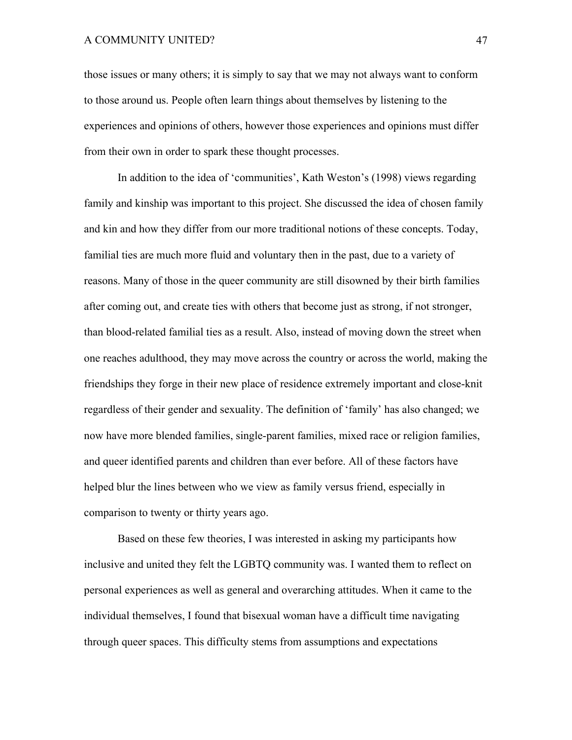those issues or many others; it is simply to say that we may not always want to conform to those around us. People often learn things about themselves by listening to the experiences and opinions of others, however those experiences and opinions must differ from their own in order to spark these thought processes.

In addition to the idea of 'communities', Kath Weston's (1998) views regarding family and kinship was important to this project. She discussed the idea of chosen family and kin and how they differ from our more traditional notions of these concepts. Today, familial ties are much more fluid and voluntary then in the past, due to a variety of reasons. Many of those in the queer community are still disowned by their birth families after coming out, and create ties with others that become just as strong, if not stronger, than blood-related familial ties as a result. Also, instead of moving down the street when one reaches adulthood, they may move across the country or across the world, making the friendships they forge in their new place of residence extremely important and close-knit regardless of their gender and sexuality. The definition of 'family' has also changed; we now have more blended families, single-parent families, mixed race or religion families, and queer identified parents and children than ever before. All of these factors have helped blur the lines between who we view as family versus friend, especially in comparison to twenty or thirty years ago.

Based on these few theories, I was interested in asking my participants how inclusive and united they felt the LGBTQ community was. I wanted them to reflect on personal experiences as well as general and overarching attitudes. When it came to the individual themselves, I found that bisexual woman have a difficult time navigating through queer spaces. This difficulty stems from assumptions and expectations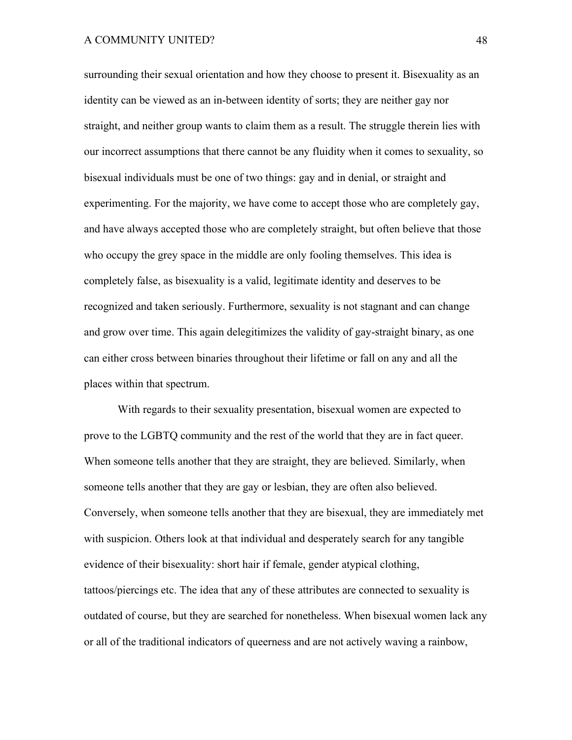surrounding their sexual orientation and how they choose to present it. Bisexuality as an identity can be viewed as an in-between identity of sorts; they are neither gay nor straight, and neither group wants to claim them as a result. The struggle therein lies with our incorrect assumptions that there cannot be any fluidity when it comes to sexuality, so bisexual individuals must be one of two things: gay and in denial, or straight and experimenting. For the majority, we have come to accept those who are completely gay, and have always accepted those who are completely straight, but often believe that those who occupy the grey space in the middle are only fooling themselves. This idea is completely false, as bisexuality is a valid, legitimate identity and deserves to be recognized and taken seriously. Furthermore, sexuality is not stagnant and can change and grow over time. This again delegitimizes the validity of gay-straight binary, as one can either cross between binaries throughout their lifetime or fall on any and all the places within that spectrum.

With regards to their sexuality presentation, bisexual women are expected to prove to the LGBTQ community and the rest of the world that they are in fact queer. When someone tells another that they are straight, they are believed. Similarly, when someone tells another that they are gay or lesbian, they are often also believed. Conversely, when someone tells another that they are bisexual, they are immediately met with suspicion. Others look at that individual and desperately search for any tangible evidence of their bisexuality: short hair if female, gender atypical clothing, tattoos/piercings etc. The idea that any of these attributes are connected to sexuality is outdated of course, but they are searched for nonetheless. When bisexual women lack any or all of the traditional indicators of queerness and are not actively waving a rainbow,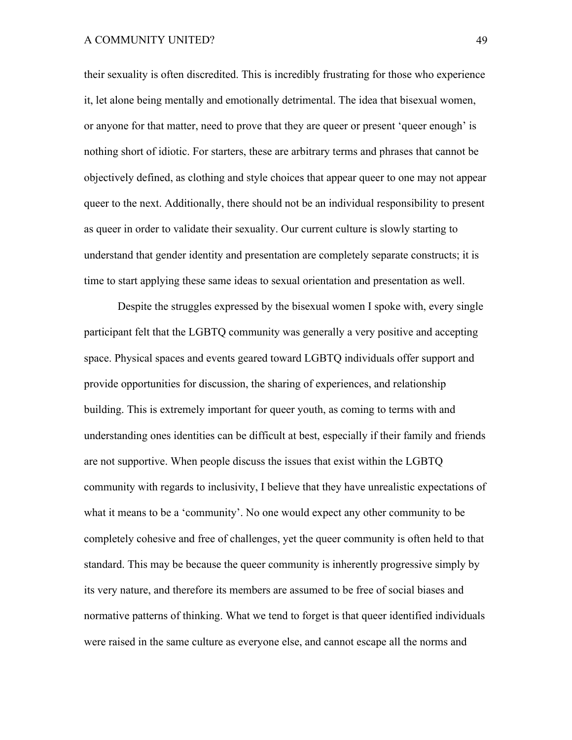their sexuality is often discredited. This is incredibly frustrating for those who experience it, let alone being mentally and emotionally detrimental. The idea that bisexual women, or anyone for that matter, need to prove that they are queer or present 'queer enough' is nothing short of idiotic. For starters, these are arbitrary terms and phrases that cannot be objectively defined, as clothing and style choices that appear queer to one may not appear queer to the next. Additionally, there should not be an individual responsibility to present as queer in order to validate their sexuality. Our current culture is slowly starting to understand that gender identity and presentation are completely separate constructs; it is time to start applying these same ideas to sexual orientation and presentation as well.

Despite the struggles expressed by the bisexual women I spoke with, every single participant felt that the LGBTQ community was generally a very positive and accepting space. Physical spaces and events geared toward LGBTQ individuals offer support and provide opportunities for discussion, the sharing of experiences, and relationship building. This is extremely important for queer youth, as coming to terms with and understanding ones identities can be difficult at best, especially if their family and friends are not supportive. When people discuss the issues that exist within the LGBTQ community with regards to inclusivity, I believe that they have unrealistic expectations of what it means to be a 'community'. No one would expect any other community to be completely cohesive and free of challenges, yet the queer community is often held to that standard. This may be because the queer community is inherently progressive simply by its very nature, and therefore its members are assumed to be free of social biases and normative patterns of thinking. What we tend to forget is that queer identified individuals were raised in the same culture as everyone else, and cannot escape all the norms and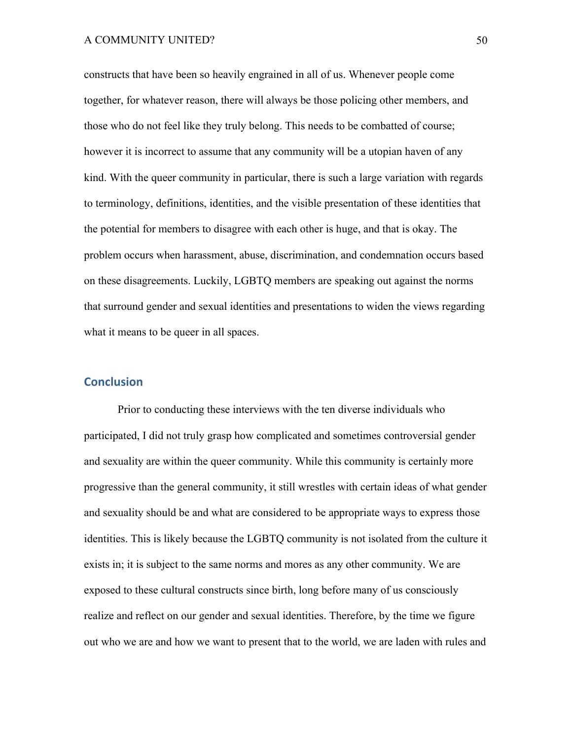constructs that have been so heavily engrained in all of us. Whenever people come together, for whatever reason, there will always be those policing other members, and those who do not feel like they truly belong. This needs to be combatted of course; however it is incorrect to assume that any community will be a utopian haven of any kind. With the queer community in particular, there is such a large variation with regards to terminology, definitions, identities, and the visible presentation of these identities that the potential for members to disagree with each other is huge, and that is okay. The problem occurs when harassment, abuse, discrimination, and condemnation occurs based on these disagreements. Luckily, LGBTQ members are speaking out against the norms that surround gender and sexual identities and presentations to widen the views regarding what it means to be queer in all spaces.

# **Conclusion**

Prior to conducting these interviews with the ten diverse individuals who participated, I did not truly grasp how complicated and sometimes controversial gender and sexuality are within the queer community. While this community is certainly more progressive than the general community, it still wrestles with certain ideas of what gender and sexuality should be and what are considered to be appropriate ways to express those identities. This is likely because the LGBTQ community is not isolated from the culture it exists in; it is subject to the same norms and mores as any other community. We are exposed to these cultural constructs since birth, long before many of us consciously realize and reflect on our gender and sexual identities. Therefore, by the time we figure out who we are and how we want to present that to the world, we are laden with rules and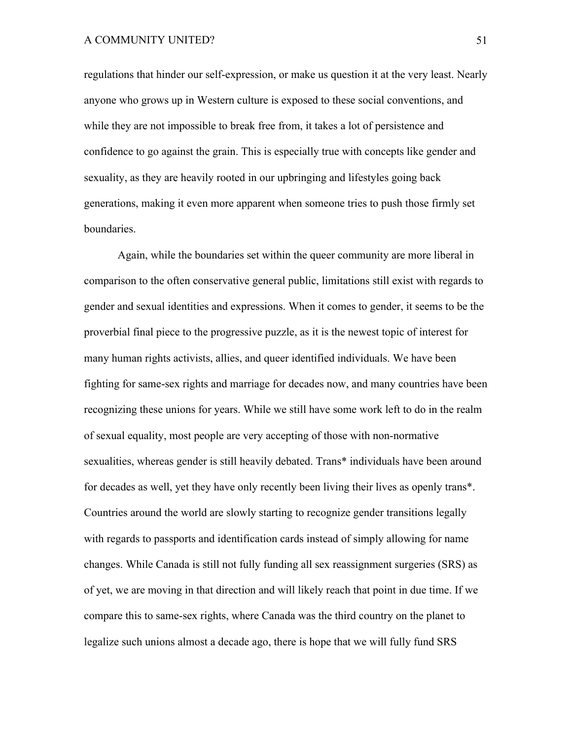regulations that hinder our self-expression, or make us question it at the very least. Nearly anyone who grows up in Western culture is exposed to these social conventions, and while they are not impossible to break free from, it takes a lot of persistence and confidence to go against the grain. This is especially true with concepts like gender and sexuality, as they are heavily rooted in our upbringing and lifestyles going back generations, making it even more apparent when someone tries to push those firmly set boundaries.

Again, while the boundaries set within the queer community are more liberal in comparison to the often conservative general public, limitations still exist with regards to gender and sexual identities and expressions. When it comes to gender, it seems to be the proverbial final piece to the progressive puzzle, as it is the newest topic of interest for many human rights activists, allies, and queer identified individuals. We have been fighting for same-sex rights and marriage for decades now, and many countries have been recognizing these unions for years. While we still have some work left to do in the realm of sexual equality, most people are very accepting of those with non-normative sexualities, whereas gender is still heavily debated. Trans\* individuals have been around for decades as well, yet they have only recently been living their lives as openly trans\*. Countries around the world are slowly starting to recognize gender transitions legally with regards to passports and identification cards instead of simply allowing for name changes. While Canada is still not fully funding all sex reassignment surgeries (SRS) as of yet, we are moving in that direction and will likely reach that point in due time. If we compare this to same-sex rights, where Canada was the third country on the planet to legalize such unions almost a decade ago, there is hope that we will fully fund SRS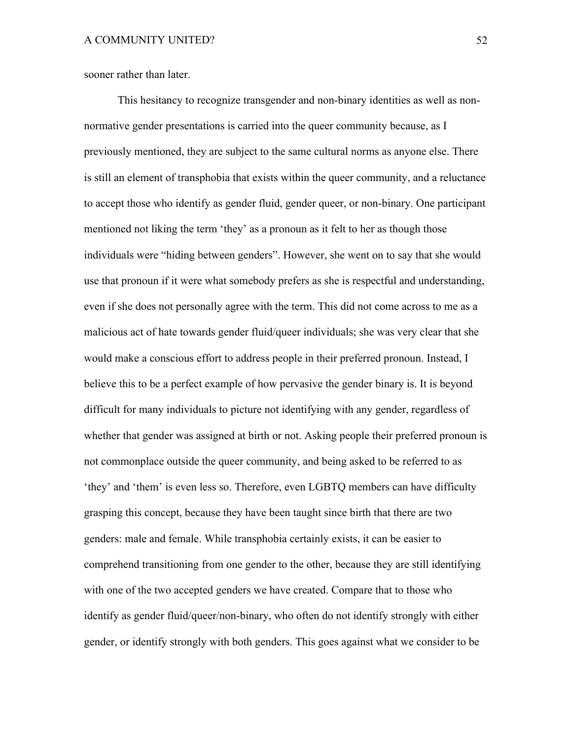sooner rather than later.

This hesitancy to recognize transgender and non-binary identities as well as nonnormative gender presentations is carried into the queer community because, as I previously mentioned, they are subject to the same cultural norms as anyone else. There is still an element of transphobia that exists within the queer community, and a reluctance to accept those who identify as gender fluid, gender queer, or non-binary. One participant mentioned not liking the term 'they' as a pronoun as it felt to her as though those individuals were "hiding between genders". However, she went on to say that she would use that pronoun if it were what somebody prefers as she is respectful and understanding, even if she does not personally agree with the term. This did not come across to me as a malicious act of hate towards gender fluid/queer individuals; she was very clear that she would make a conscious effort to address people in their preferred pronoun. Instead, I believe this to be a perfect example of how pervasive the gender binary is. It is beyond difficult for many individuals to picture not identifying with any gender, regardless of whether that gender was assigned at birth or not. Asking people their preferred pronoun is not commonplace outside the queer community, and being asked to be referred to as 'they' and 'them' is even less so. Therefore, even LGBTQ members can have difficulty grasping this concept, because they have been taught since birth that there are two genders: male and female. While transphobia certainly exists, it can be easier to comprehend transitioning from one gender to the other, because they are still identifying with one of the two accepted genders we have created. Compare that to those who identify as gender fluid/queer/non-binary, who often do not identify strongly with either gender, or identify strongly with both genders. This goes against what we consider to be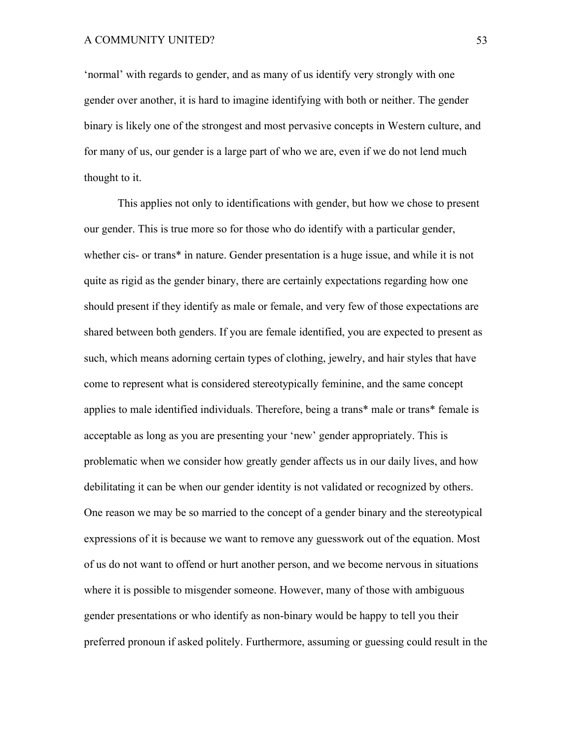'normal' with regards to gender, and as many of us identify very strongly with one gender over another, it is hard to imagine identifying with both or neither. The gender binary is likely one of the strongest and most pervasive concepts in Western culture, and for many of us, our gender is a large part of who we are, even if we do not lend much thought to it.

This applies not only to identifications with gender, but how we chose to present our gender. This is true more so for those who do identify with a particular gender, whether cis- or trans<sup>\*</sup> in nature. Gender presentation is a huge issue, and while it is not quite as rigid as the gender binary, there are certainly expectations regarding how one should present if they identify as male or female, and very few of those expectations are shared between both genders. If you are female identified, you are expected to present as such, which means adorning certain types of clothing, jewelry, and hair styles that have come to represent what is considered stereotypically feminine, and the same concept applies to male identified individuals. Therefore, being a trans\* male or trans\* female is acceptable as long as you are presenting your 'new' gender appropriately. This is problematic when we consider how greatly gender affects us in our daily lives, and how debilitating it can be when our gender identity is not validated or recognized by others. One reason we may be so married to the concept of a gender binary and the stereotypical expressions of it is because we want to remove any guesswork out of the equation. Most of us do not want to offend or hurt another person, and we become nervous in situations where it is possible to misgender someone. However, many of those with ambiguous gender presentations or who identify as non-binary would be happy to tell you their preferred pronoun if asked politely. Furthermore, assuming or guessing could result in the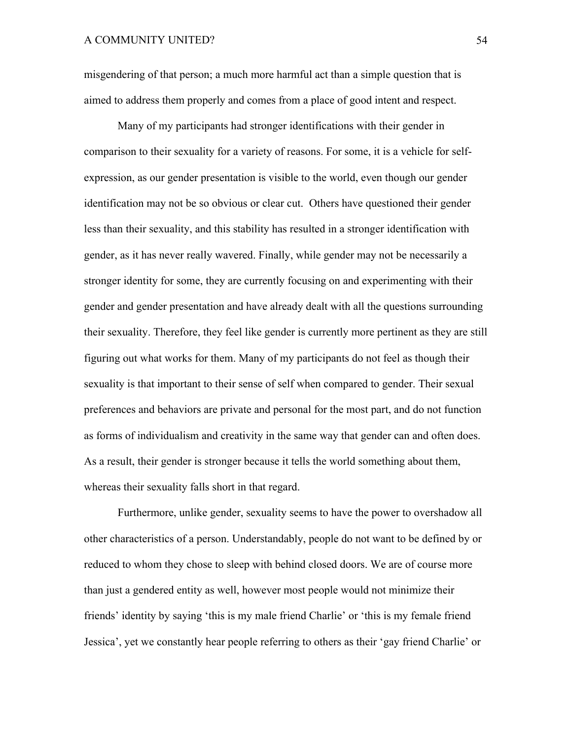misgendering of that person; a much more harmful act than a simple question that is aimed to address them properly and comes from a place of good intent and respect.

Many of my participants had stronger identifications with their gender in comparison to their sexuality for a variety of reasons. For some, it is a vehicle for selfexpression, as our gender presentation is visible to the world, even though our gender identification may not be so obvious or clear cut. Others have questioned their gender less than their sexuality, and this stability has resulted in a stronger identification with gender, as it has never really wavered. Finally, while gender may not be necessarily a stronger identity for some, they are currently focusing on and experimenting with their gender and gender presentation and have already dealt with all the questions surrounding their sexuality. Therefore, they feel like gender is currently more pertinent as they are still figuring out what works for them. Many of my participants do not feel as though their sexuality is that important to their sense of self when compared to gender. Their sexual preferences and behaviors are private and personal for the most part, and do not function as forms of individualism and creativity in the same way that gender can and often does. As a result, their gender is stronger because it tells the world something about them, whereas their sexuality falls short in that regard.

Furthermore, unlike gender, sexuality seems to have the power to overshadow all other characteristics of a person. Understandably, people do not want to be defined by or reduced to whom they chose to sleep with behind closed doors. We are of course more than just a gendered entity as well, however most people would not minimize their friends' identity by saying 'this is my male friend Charlie' or 'this is my female friend Jessica', yet we constantly hear people referring to others as their 'gay friend Charlie' or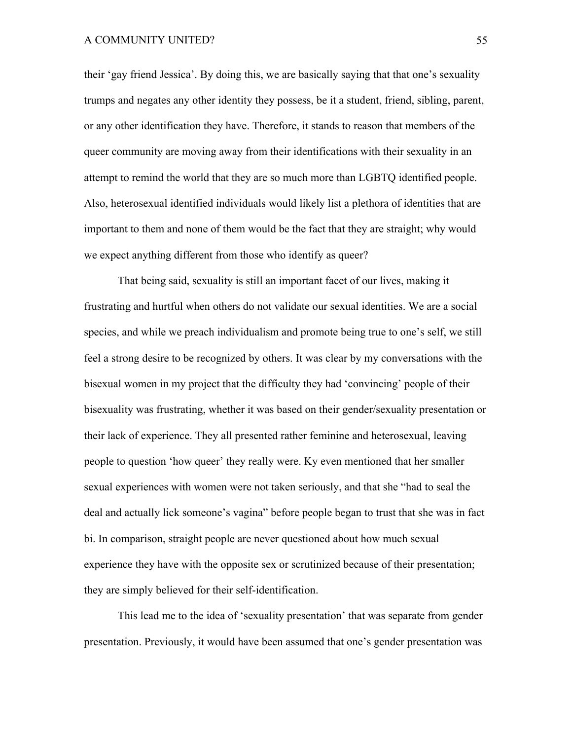their 'gay friend Jessica'. By doing this, we are basically saying that that one's sexuality trumps and negates any other identity they possess, be it a student, friend, sibling, parent, or any other identification they have. Therefore, it stands to reason that members of the queer community are moving away from their identifications with their sexuality in an attempt to remind the world that they are so much more than LGBTQ identified people. Also, heterosexual identified individuals would likely list a plethora of identities that are important to them and none of them would be the fact that they are straight; why would we expect anything different from those who identify as queer?

That being said, sexuality is still an important facet of our lives, making it frustrating and hurtful when others do not validate our sexual identities. We are a social species, and while we preach individualism and promote being true to one's self, we still feel a strong desire to be recognized by others. It was clear by my conversations with the bisexual women in my project that the difficulty they had 'convincing' people of their bisexuality was frustrating, whether it was based on their gender/sexuality presentation or their lack of experience. They all presented rather feminine and heterosexual, leaving people to question 'how queer' they really were. Ky even mentioned that her smaller sexual experiences with women were not taken seriously, and that she "had to seal the deal and actually lick someone's vagina" before people began to trust that she was in fact bi. In comparison, straight people are never questioned about how much sexual experience they have with the opposite sex or scrutinized because of their presentation; they are simply believed for their self-identification.

This lead me to the idea of 'sexuality presentation' that was separate from gender presentation. Previously, it would have been assumed that one's gender presentation was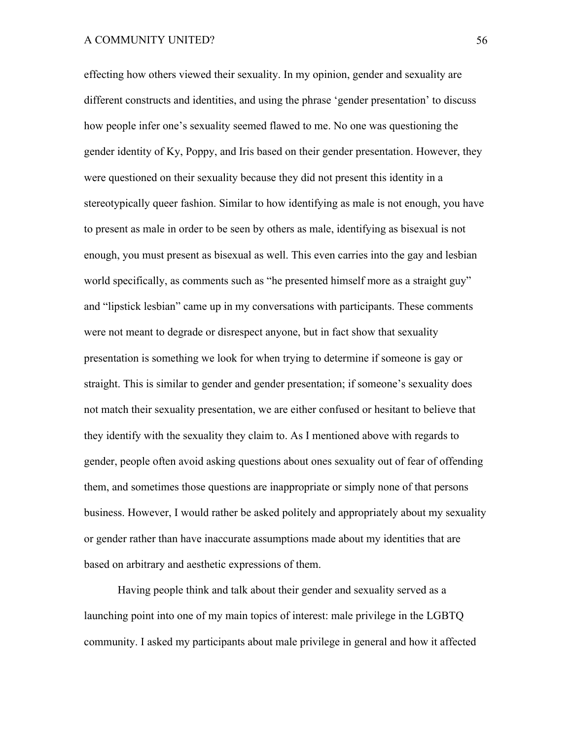effecting how others viewed their sexuality. In my opinion, gender and sexuality are different constructs and identities, and using the phrase 'gender presentation' to discuss how people infer one's sexuality seemed flawed to me. No one was questioning the gender identity of Ky, Poppy, and Iris based on their gender presentation. However, they were questioned on their sexuality because they did not present this identity in a stereotypically queer fashion. Similar to how identifying as male is not enough, you have to present as male in order to be seen by others as male, identifying as bisexual is not enough, you must present as bisexual as well. This even carries into the gay and lesbian world specifically, as comments such as "he presented himself more as a straight guy" and "lipstick lesbian" came up in my conversations with participants. These comments were not meant to degrade or disrespect anyone, but in fact show that sexuality presentation is something we look for when trying to determine if someone is gay or straight. This is similar to gender and gender presentation; if someone's sexuality does not match their sexuality presentation, we are either confused or hesitant to believe that they identify with the sexuality they claim to. As I mentioned above with regards to gender, people often avoid asking questions about ones sexuality out of fear of offending them, and sometimes those questions are inappropriate or simply none of that persons business. However, I would rather be asked politely and appropriately about my sexuality or gender rather than have inaccurate assumptions made about my identities that are based on arbitrary and aesthetic expressions of them.

Having people think and talk about their gender and sexuality served as a launching point into one of my main topics of interest: male privilege in the LGBTQ community. I asked my participants about male privilege in general and how it affected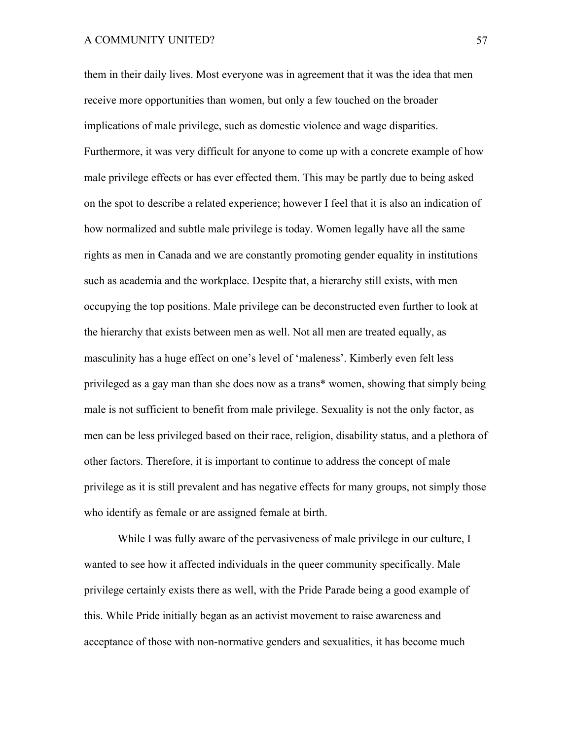them in their daily lives. Most everyone was in agreement that it was the idea that men receive more opportunities than women, but only a few touched on the broader implications of male privilege, such as domestic violence and wage disparities. Furthermore, it was very difficult for anyone to come up with a concrete example of how male privilege effects or has ever effected them. This may be partly due to being asked on the spot to describe a related experience; however I feel that it is also an indication of how normalized and subtle male privilege is today. Women legally have all the same rights as men in Canada and we are constantly promoting gender equality in institutions such as academia and the workplace. Despite that, a hierarchy still exists, with men occupying the top positions. Male privilege can be deconstructed even further to look at the hierarchy that exists between men as well. Not all men are treated equally, as masculinity has a huge effect on one's level of 'maleness'. Kimberly even felt less privileged as a gay man than she does now as a trans\* women, showing that simply being male is not sufficient to benefit from male privilege. Sexuality is not the only factor, as men can be less privileged based on their race, religion, disability status, and a plethora of other factors. Therefore, it is important to continue to address the concept of male privilege as it is still prevalent and has negative effects for many groups, not simply those who identify as female or are assigned female at birth.

While I was fully aware of the pervasiveness of male privilege in our culture, I wanted to see how it affected individuals in the queer community specifically. Male privilege certainly exists there as well, with the Pride Parade being a good example of this. While Pride initially began as an activist movement to raise awareness and acceptance of those with non-normative genders and sexualities, it has become much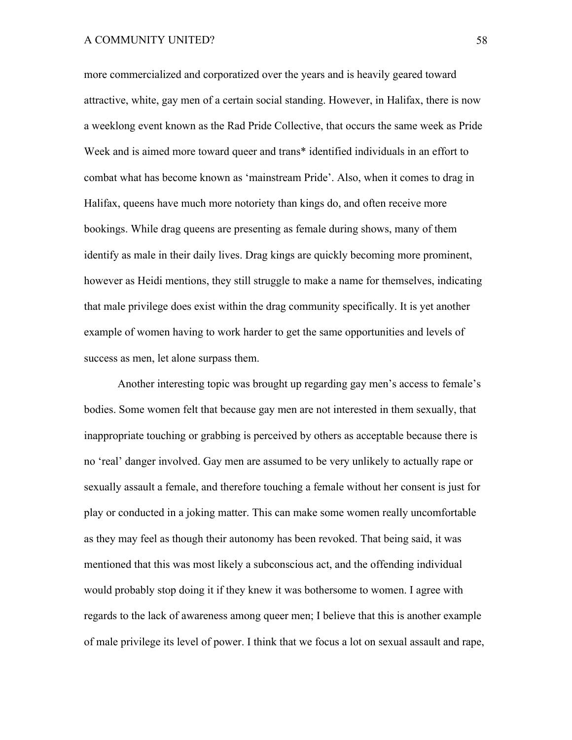more commercialized and corporatized over the years and is heavily geared toward attractive, white, gay men of a certain social standing. However, in Halifax, there is now a weeklong event known as the Rad Pride Collective, that occurs the same week as Pride Week and is aimed more toward queer and trans\* identified individuals in an effort to combat what has become known as 'mainstream Pride'. Also, when it comes to drag in Halifax, queens have much more notoriety than kings do, and often receive more bookings. While drag queens are presenting as female during shows, many of them identify as male in their daily lives. Drag kings are quickly becoming more prominent, however as Heidi mentions, they still struggle to make a name for themselves, indicating that male privilege does exist within the drag community specifically. It is yet another example of women having to work harder to get the same opportunities and levels of success as men, let alone surpass them.

Another interesting topic was brought up regarding gay men's access to female's bodies. Some women felt that because gay men are not interested in them sexually, that inappropriate touching or grabbing is perceived by others as acceptable because there is no 'real' danger involved. Gay men are assumed to be very unlikely to actually rape or sexually assault a female, and therefore touching a female without her consent is just for play or conducted in a joking matter. This can make some women really uncomfortable as they may feel as though their autonomy has been revoked. That being said, it was mentioned that this was most likely a subconscious act, and the offending individual would probably stop doing it if they knew it was bothersome to women. I agree with regards to the lack of awareness among queer men; I believe that this is another example of male privilege its level of power. I think that we focus a lot on sexual assault and rape,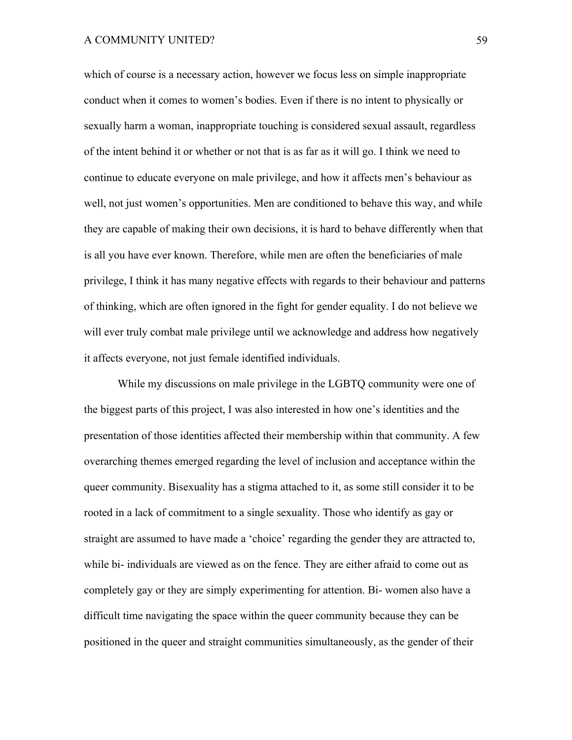which of course is a necessary action, however we focus less on simple inappropriate conduct when it comes to women's bodies. Even if there is no intent to physically or sexually harm a woman, inappropriate touching is considered sexual assault, regardless of the intent behind it or whether or not that is as far as it will go. I think we need to continue to educate everyone on male privilege, and how it affects men's behaviour as well, not just women's opportunities. Men are conditioned to behave this way, and while they are capable of making their own decisions, it is hard to behave differently when that is all you have ever known. Therefore, while men are often the beneficiaries of male privilege, I think it has many negative effects with regards to their behaviour and patterns of thinking, which are often ignored in the fight for gender equality. I do not believe we will ever truly combat male privilege until we acknowledge and address how negatively it affects everyone, not just female identified individuals.

While my discussions on male privilege in the LGBTQ community were one of the biggest parts of this project, I was also interested in how one's identities and the presentation of those identities affected their membership within that community. A few overarching themes emerged regarding the level of inclusion and acceptance within the queer community. Bisexuality has a stigma attached to it, as some still consider it to be rooted in a lack of commitment to a single sexuality. Those who identify as gay or straight are assumed to have made a 'choice' regarding the gender they are attracted to, while bi- individuals are viewed as on the fence. They are either afraid to come out as completely gay or they are simply experimenting for attention. Bi- women also have a difficult time navigating the space within the queer community because they can be positioned in the queer and straight communities simultaneously, as the gender of their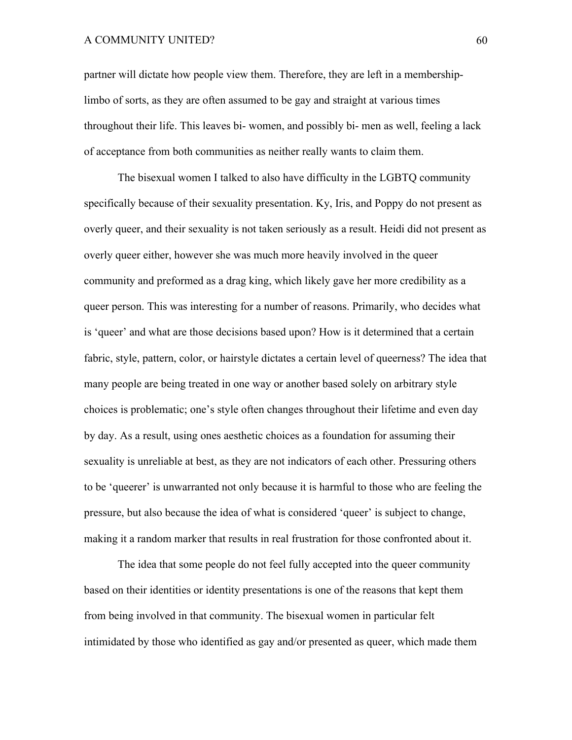partner will dictate how people view them. Therefore, they are left in a membershiplimbo of sorts, as they are often assumed to be gay and straight at various times throughout their life. This leaves bi- women, and possibly bi- men as well, feeling a lack of acceptance from both communities as neither really wants to claim them.

The bisexual women I talked to also have difficulty in the LGBTQ community specifically because of their sexuality presentation. Ky, Iris, and Poppy do not present as overly queer, and their sexuality is not taken seriously as a result. Heidi did not present as overly queer either, however she was much more heavily involved in the queer community and preformed as a drag king, which likely gave her more credibility as a queer person. This was interesting for a number of reasons. Primarily, who decides what is 'queer' and what are those decisions based upon? How is it determined that a certain fabric, style, pattern, color, or hairstyle dictates a certain level of queerness? The idea that many people are being treated in one way or another based solely on arbitrary style choices is problematic; one's style often changes throughout their lifetime and even day by day. As a result, using ones aesthetic choices as a foundation for assuming their sexuality is unreliable at best, as they are not indicators of each other. Pressuring others to be 'queerer' is unwarranted not only because it is harmful to those who are feeling the pressure, but also because the idea of what is considered 'queer' is subject to change, making it a random marker that results in real frustration for those confronted about it.

The idea that some people do not feel fully accepted into the queer community based on their identities or identity presentations is one of the reasons that kept them from being involved in that community. The bisexual women in particular felt intimidated by those who identified as gay and/or presented as queer, which made them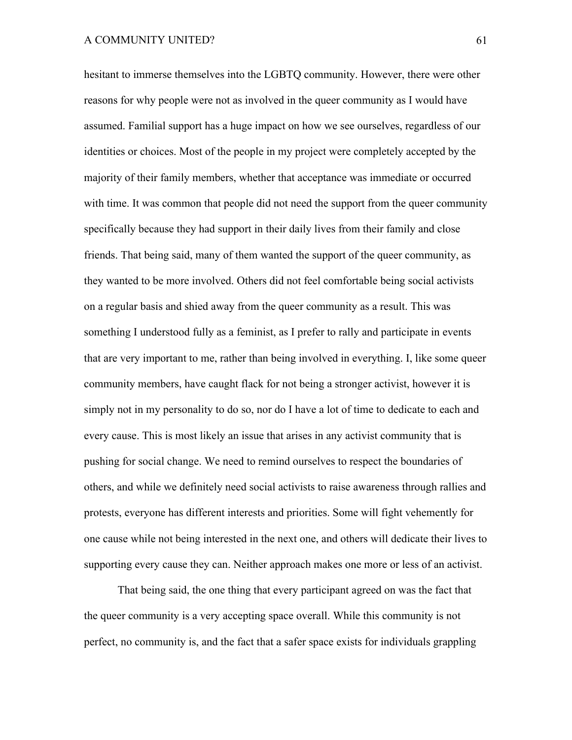hesitant to immerse themselves into the LGBTQ community. However, there were other reasons for why people were not as involved in the queer community as I would have assumed. Familial support has a huge impact on how we see ourselves, regardless of our identities or choices. Most of the people in my project were completely accepted by the majority of their family members, whether that acceptance was immediate or occurred with time. It was common that people did not need the support from the queer community specifically because they had support in their daily lives from their family and close friends. That being said, many of them wanted the support of the queer community, as they wanted to be more involved. Others did not feel comfortable being social activists on a regular basis and shied away from the queer community as a result. This was something I understood fully as a feminist, as I prefer to rally and participate in events that are very important to me, rather than being involved in everything. I, like some queer community members, have caught flack for not being a stronger activist, however it is simply not in my personality to do so, nor do I have a lot of time to dedicate to each and every cause. This is most likely an issue that arises in any activist community that is pushing for social change. We need to remind ourselves to respect the boundaries of others, and while we definitely need social activists to raise awareness through rallies and protests, everyone has different interests and priorities. Some will fight vehemently for one cause while not being interested in the next one, and others will dedicate their lives to supporting every cause they can. Neither approach makes one more or less of an activist.

That being said, the one thing that every participant agreed on was the fact that the queer community is a very accepting space overall. While this community is not perfect, no community is, and the fact that a safer space exists for individuals grappling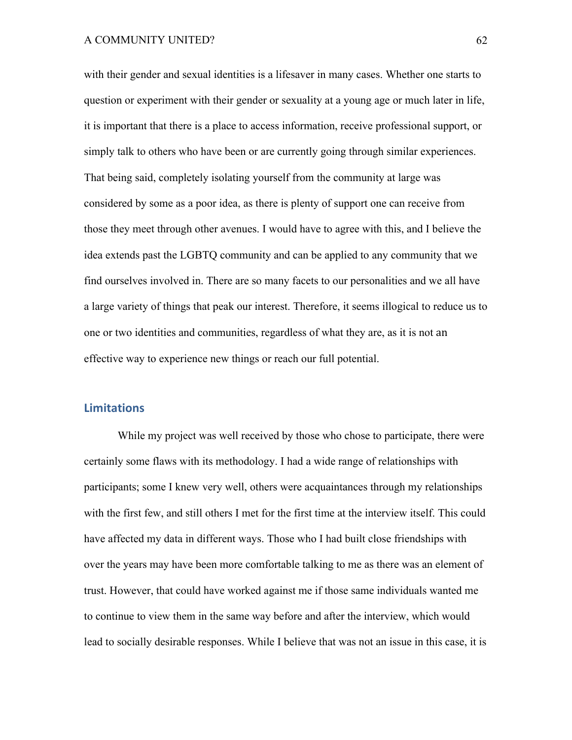with their gender and sexual identities is a lifesaver in many cases. Whether one starts to question or experiment with their gender or sexuality at a young age or much later in life, it is important that there is a place to access information, receive professional support, or simply talk to others who have been or are currently going through similar experiences. That being said, completely isolating yourself from the community at large was considered by some as a poor idea, as there is plenty of support one can receive from those they meet through other avenues. I would have to agree with this, and I believe the idea extends past the LGBTQ community and can be applied to any community that we find ourselves involved in. There are so many facets to our personalities and we all have a large variety of things that peak our interest. Therefore, it seems illogical to reduce us to one or two identities and communities, regardless of what they are, as it is not an effective way to experience new things or reach our full potential.

## **Limitations**

While my project was well received by those who chose to participate, there were certainly some flaws with its methodology. I had a wide range of relationships with participants; some I knew very well, others were acquaintances through my relationships with the first few, and still others I met for the first time at the interview itself. This could have affected my data in different ways. Those who I had built close friendships with over the years may have been more comfortable talking to me as there was an element of trust. However, that could have worked against me if those same individuals wanted me to continue to view them in the same way before and after the interview, which would lead to socially desirable responses. While I believe that was not an issue in this case, it is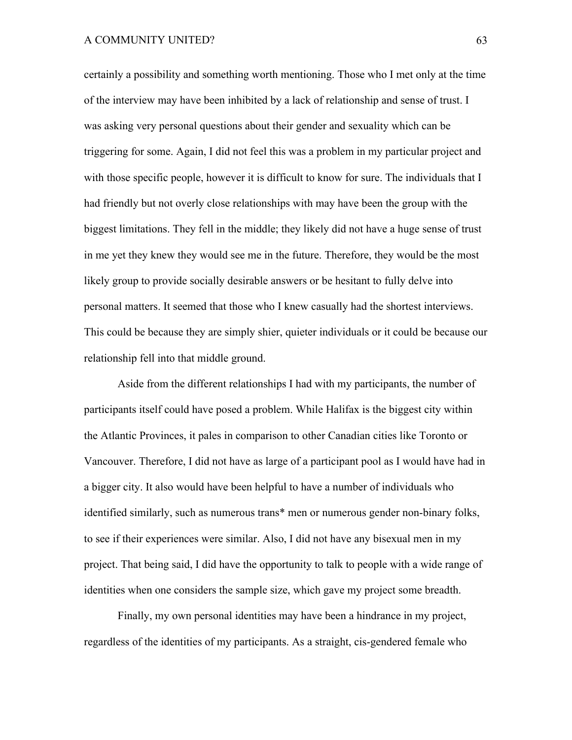certainly a possibility and something worth mentioning. Those who I met only at the time of the interview may have been inhibited by a lack of relationship and sense of trust. I was asking very personal questions about their gender and sexuality which can be triggering for some. Again, I did not feel this was a problem in my particular project and with those specific people, however it is difficult to know for sure. The individuals that I had friendly but not overly close relationships with may have been the group with the biggest limitations. They fell in the middle; they likely did not have a huge sense of trust in me yet they knew they would see me in the future. Therefore, they would be the most likely group to provide socially desirable answers or be hesitant to fully delve into personal matters. It seemed that those who I knew casually had the shortest interviews. This could be because they are simply shier, quieter individuals or it could be because our relationship fell into that middle ground.

Aside from the different relationships I had with my participants, the number of participants itself could have posed a problem. While Halifax is the biggest city within the Atlantic Provinces, it pales in comparison to other Canadian cities like Toronto or Vancouver. Therefore, I did not have as large of a participant pool as I would have had in a bigger city. It also would have been helpful to have a number of individuals who identified similarly, such as numerous trans\* men or numerous gender non-binary folks, to see if their experiences were similar. Also, I did not have any bisexual men in my project. That being said, I did have the opportunity to talk to people with a wide range of identities when one considers the sample size, which gave my project some breadth.

Finally, my own personal identities may have been a hindrance in my project, regardless of the identities of my participants. As a straight, cis-gendered female who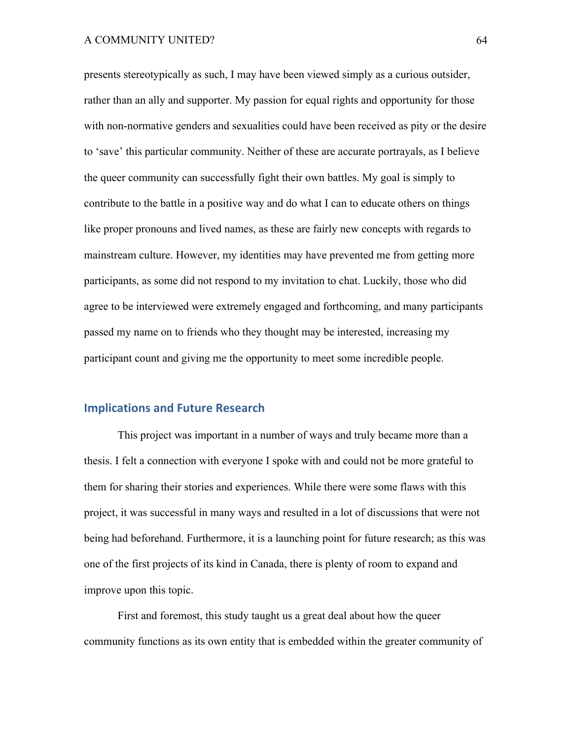presents stereotypically as such, I may have been viewed simply as a curious outsider, rather than an ally and supporter. My passion for equal rights and opportunity for those with non-normative genders and sexualities could have been received as pity or the desire to 'save' this particular community. Neither of these are accurate portrayals, as I believe the queer community can successfully fight their own battles. My goal is simply to contribute to the battle in a positive way and do what I can to educate others on things like proper pronouns and lived names, as these are fairly new concepts with regards to mainstream culture. However, my identities may have prevented me from getting more participants, as some did not respond to my invitation to chat. Luckily, those who did agree to be interviewed were extremely engaged and forthcoming, and many participants passed my name on to friends who they thought may be interested, increasing my participant count and giving me the opportunity to meet some incredible people.

## **Implications and Future Research**

This project was important in a number of ways and truly became more than a thesis. I felt a connection with everyone I spoke with and could not be more grateful to them for sharing their stories and experiences. While there were some flaws with this project, it was successful in many ways and resulted in a lot of discussions that were not being had beforehand. Furthermore, it is a launching point for future research; as this was one of the first projects of its kind in Canada, there is plenty of room to expand and improve upon this topic.

First and foremost, this study taught us a great deal about how the queer community functions as its own entity that is embedded within the greater community of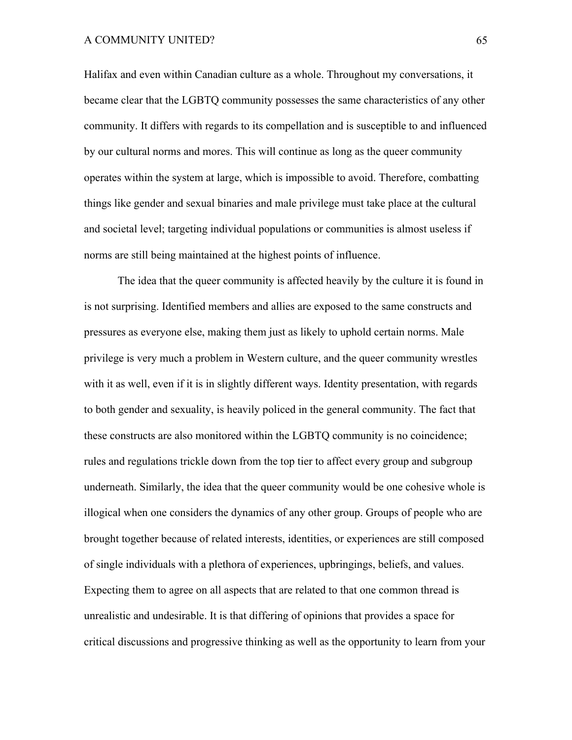Halifax and even within Canadian culture as a whole. Throughout my conversations, it became clear that the LGBTQ community possesses the same characteristics of any other community. It differs with regards to its compellation and is susceptible to and influenced by our cultural norms and mores. This will continue as long as the queer community operates within the system at large, which is impossible to avoid. Therefore, combatting things like gender and sexual binaries and male privilege must take place at the cultural and societal level; targeting individual populations or communities is almost useless if norms are still being maintained at the highest points of influence.

The idea that the queer community is affected heavily by the culture it is found in is not surprising. Identified members and allies are exposed to the same constructs and pressures as everyone else, making them just as likely to uphold certain norms. Male privilege is very much a problem in Western culture, and the queer community wrestles with it as well, even if it is in slightly different ways. Identity presentation, with regards to both gender and sexuality, is heavily policed in the general community. The fact that these constructs are also monitored within the LGBTQ community is no coincidence; rules and regulations trickle down from the top tier to affect every group and subgroup underneath. Similarly, the idea that the queer community would be one cohesive whole is illogical when one considers the dynamics of any other group. Groups of people who are brought together because of related interests, identities, or experiences are still composed of single individuals with a plethora of experiences, upbringings, beliefs, and values. Expecting them to agree on all aspects that are related to that one common thread is unrealistic and undesirable. It is that differing of opinions that provides a space for critical discussions and progressive thinking as well as the opportunity to learn from your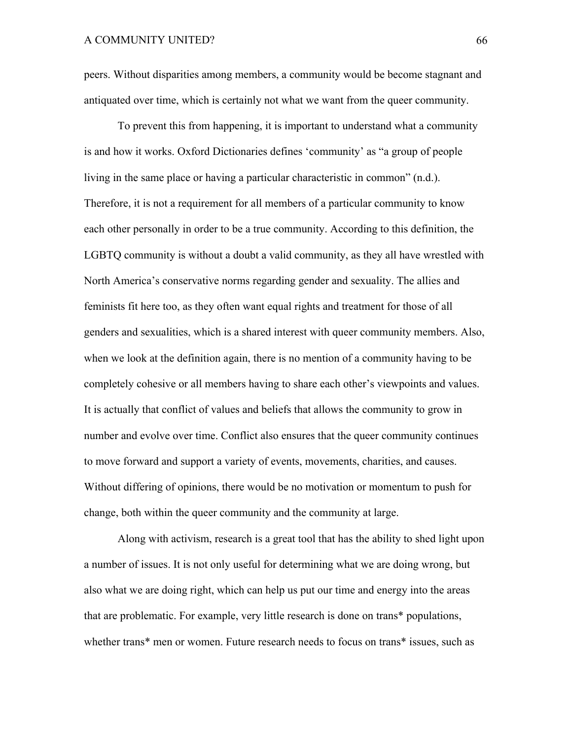peers. Without disparities among members, a community would be become stagnant and antiquated over time, which is certainly not what we want from the queer community.

To prevent this from happening, it is important to understand what a community is and how it works. Oxford Dictionaries defines 'community' as "a group of people living in the same place or having a particular characteristic in common" (n.d.). Therefore, it is not a requirement for all members of a particular community to know each other personally in order to be a true community. According to this definition, the LGBTQ community is without a doubt a valid community, as they all have wrestled with North America's conservative norms regarding gender and sexuality. The allies and feminists fit here too, as they often want equal rights and treatment for those of all genders and sexualities, which is a shared interest with queer community members. Also, when we look at the definition again, there is no mention of a community having to be completely cohesive or all members having to share each other's viewpoints and values. It is actually that conflict of values and beliefs that allows the community to grow in number and evolve over time. Conflict also ensures that the queer community continues to move forward and support a variety of events, movements, charities, and causes. Without differing of opinions, there would be no motivation or momentum to push for change, both within the queer community and the community at large.

Along with activism, research is a great tool that has the ability to shed light upon a number of issues. It is not only useful for determining what we are doing wrong, but also what we are doing right, which can help us put our time and energy into the areas that are problematic. For example, very little research is done on trans\* populations, whether trans\* men or women. Future research needs to focus on trans\* issues, such as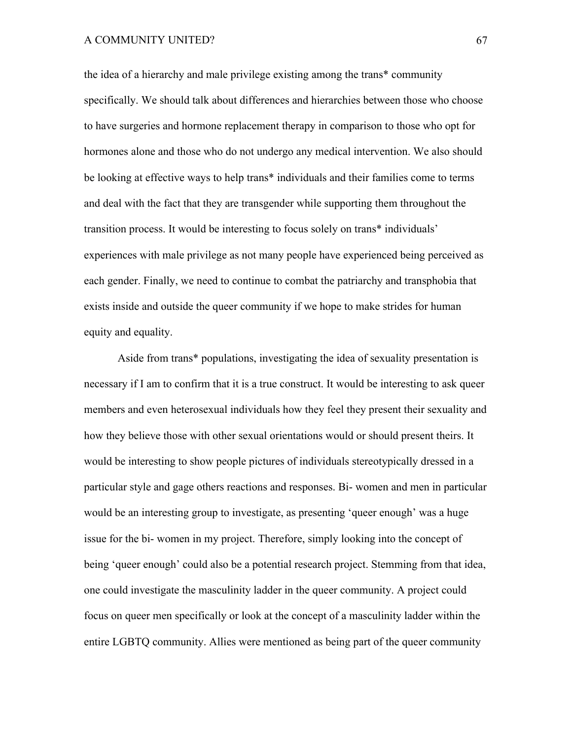the idea of a hierarchy and male privilege existing among the trans\* community specifically. We should talk about differences and hierarchies between those who choose to have surgeries and hormone replacement therapy in comparison to those who opt for hormones alone and those who do not undergo any medical intervention. We also should be looking at effective ways to help trans\* individuals and their families come to terms and deal with the fact that they are transgender while supporting them throughout the transition process. It would be interesting to focus solely on trans\* individuals' experiences with male privilege as not many people have experienced being perceived as each gender. Finally, we need to continue to combat the patriarchy and transphobia that exists inside and outside the queer community if we hope to make strides for human equity and equality.

Aside from trans\* populations, investigating the idea of sexuality presentation is necessary if I am to confirm that it is a true construct. It would be interesting to ask queer members and even heterosexual individuals how they feel they present their sexuality and how they believe those with other sexual orientations would or should present theirs. It would be interesting to show people pictures of individuals stereotypically dressed in a particular style and gage others reactions and responses. Bi- women and men in particular would be an interesting group to investigate, as presenting 'queer enough' was a huge issue for the bi- women in my project. Therefore, simply looking into the concept of being 'queer enough' could also be a potential research project. Stemming from that idea, one could investigate the masculinity ladder in the queer community. A project could focus on queer men specifically or look at the concept of a masculinity ladder within the entire LGBTQ community. Allies were mentioned as being part of the queer community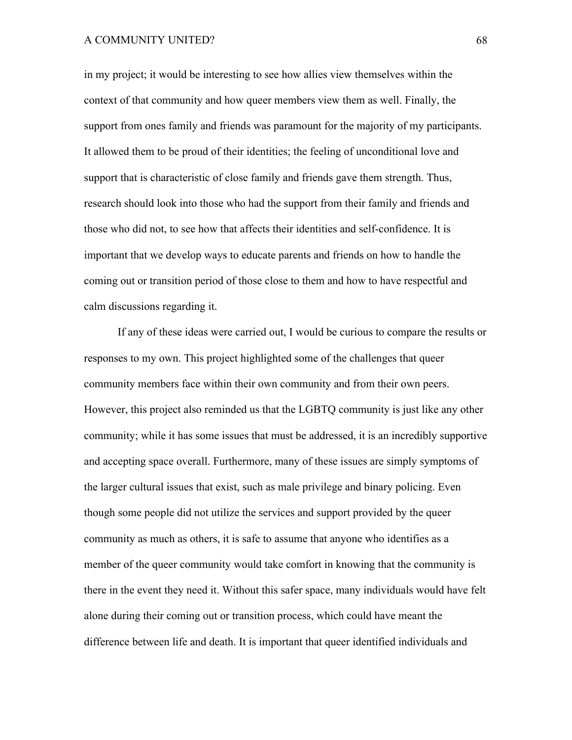in my project; it would be interesting to see how allies view themselves within the context of that community and how queer members view them as well. Finally, the support from ones family and friends was paramount for the majority of my participants. It allowed them to be proud of their identities; the feeling of unconditional love and support that is characteristic of close family and friends gave them strength. Thus, research should look into those who had the support from their family and friends and those who did not, to see how that affects their identities and self-confidence. It is important that we develop ways to educate parents and friends on how to handle the coming out or transition period of those close to them and how to have respectful and calm discussions regarding it.

If any of these ideas were carried out, I would be curious to compare the results or responses to my own. This project highlighted some of the challenges that queer community members face within their own community and from their own peers. However, this project also reminded us that the LGBTQ community is just like any other community; while it has some issues that must be addressed, it is an incredibly supportive and accepting space overall. Furthermore, many of these issues are simply symptoms of the larger cultural issues that exist, such as male privilege and binary policing. Even though some people did not utilize the services and support provided by the queer community as much as others, it is safe to assume that anyone who identifies as a member of the queer community would take comfort in knowing that the community is there in the event they need it. Without this safer space, many individuals would have felt alone during their coming out or transition process, which could have meant the difference between life and death. It is important that queer identified individuals and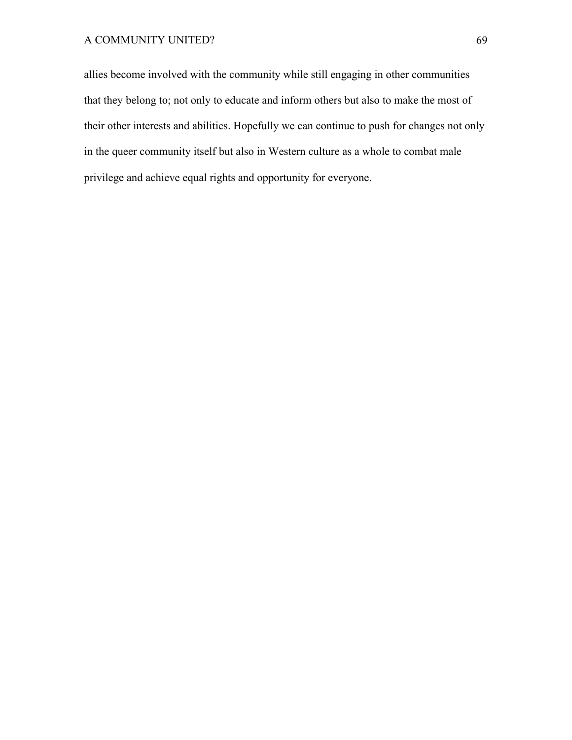allies become involved with the community while still engaging in other communities that they belong to; not only to educate and inform others but also to make the most of their other interests and abilities. Hopefully we can continue to push for changes not only in the queer community itself but also in Western culture as a whole to combat male privilege and achieve equal rights and opportunity for everyone.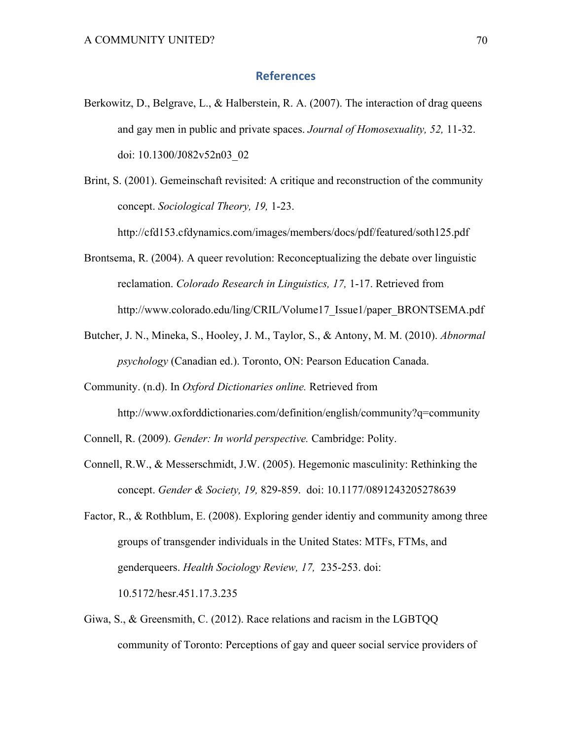## **References**

- Berkowitz, D., Belgrave, L., & Halberstein, R. A. (2007). The interaction of drag queens and gay men in public and private spaces. *Journal of Homosexuality, 52,* 11-32. doi: 10.1300/J082v52n03\_02
- Brint, S. (2001). Gemeinschaft revisited: A critique and reconstruction of the community concept. *Sociological Theory, 19,* 1-23.

http://cfd153.cfdynamics.com/images/members/docs/pdf/featured/soth125.pdf

- Brontsema, R. (2004). A queer revolution: Reconceptualizing the debate over linguistic reclamation. *Colorado Research in Linguistics, 17,* 1-17. Retrieved from http://www.colorado.edu/ling/CRIL/Volume17\_Issue1/paper\_BRONTSEMA.pdf
- Butcher, J. N., Mineka, S., Hooley, J. M., Taylor, S., & Antony, M. M. (2010). *Abnormal psychology* (Canadian ed.). Toronto, ON: Pearson Education Canada.

Community. (n.d). In *Oxford Dictionaries online.* Retrieved from

http://www.oxforddictionaries.com/definition/english/community?q=community

Connell, R. (2009). *Gender: In world perspective.* Cambridge: Polity.

- Connell, R.W., & Messerschmidt, J.W. (2005). Hegemonic masculinity: Rethinking the concept. *Gender & Society, 19,* 829-859. doi: 10.1177/0891243205278639
- Factor, R., & Rothblum, E. (2008). Exploring gender identiy and community among three groups of transgender individuals in the United States: MTFs, FTMs, and genderqueers. *Health Sociology Review, 17,* 235-253. doi:

10.5172/hesr.451.17.3.235

Giwa, S., & Greensmith, C. (2012). Race relations and racism in the LGBTQQ community of Toronto: Perceptions of gay and queer social service providers of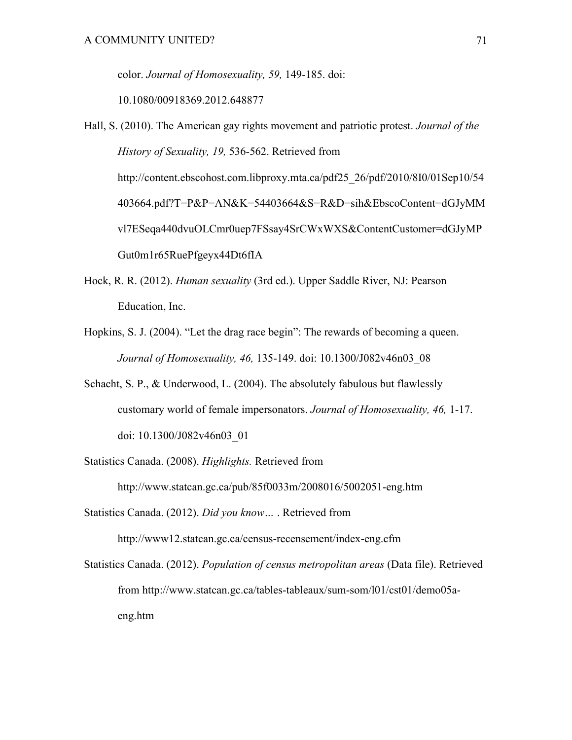color. *Journal of Homosexuality, 59,* 149-185. doi:

10.1080/00918369.2012.648877

- Hall, S. (2010). The American gay rights movement and patriotic protest. *Journal of the History of Sexuality, 19,* 536-562. Retrieved from http://content.ebscohost.com.libproxy.mta.ca/pdf25\_26/pdf/2010/8I0/01Sep10/54 403664.pdf?T=P&P=AN&K=54403664&S=R&D=sih&EbscoContent=dGJyMM vl7ESeqa440dvuOLCmr0uep7FSsay4SrCWxWXS&ContentCustomer=dGJyMP Gut0m1r65RuePfgeyx44Dt6fIA
- Hock, R. R. (2012). *Human sexuality* (3rd ed.). Upper Saddle River, NJ: Pearson Education, Inc.
- Hopkins, S. J. (2004). "Let the drag race begin": The rewards of becoming a queen. *Journal of Homosexuality, 46,* 135-149. doi: 10.1300/J082v46n03\_08
- Schacht, S. P., & Underwood, L. (2004). The absolutely fabulous but flawlessly customary world of female impersonators. *Journal of Homosexuality, 46,* 1-17. doi: 10.1300/J082v46n03\_01
- Statistics Canada. (2008). *Highlights.* Retrieved from

http://www.statcan.gc.ca/pub/85f0033m/2008016/5002051-eng.htm

Statistics Canada. (2012). *Did you know…* . Retrieved from

http://www12.statcan.gc.ca/census-recensement/index-eng.cfm

Statistics Canada. (2012). *Population of census metropolitan areas* (Data file). Retrieved from http://www.statcan.gc.ca/tables-tableaux/sum-som/l01/cst01/demo05aeng.htm